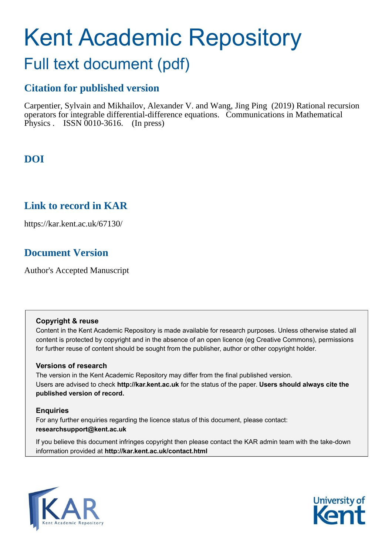# Kent Academic Repository

# Full text document (pdf)

# **Citation for published version**

Carpentier, Sylvain and Mikhailov, Alexander V. and Wang, Jing Ping (2019) Rational recursion operators for integrable differential-difference equations. Communications in Mathematical Physics . ISSN 0010-3616. (In press)

# **DOI**

# **Link to record in KAR**

https://kar.kent.ac.uk/67130/

# **Document Version**

Author's Accepted Manuscript

# **Copyright & reuse**

Content in the Kent Academic Repository is made available for research purposes. Unless otherwise stated all content is protected by copyright and in the absence of an open licence (eg Creative Commons), permissions for further reuse of content should be sought from the publisher, author or other copyright holder.

# **Versions of research**

The version in the Kent Academic Repository may differ from the final published version. Users are advised to check **http://kar.kent.ac.uk** for the status of the paper. **Users should always cite the published version of record.**

# **Enquiries**

For any further enquiries regarding the licence status of this document, please contact: **researchsupport@kent.ac.uk**

If you believe this document infringes copyright then please contact the KAR admin team with the take-down information provided at **http://kar.kent.ac.uk/contact.html**



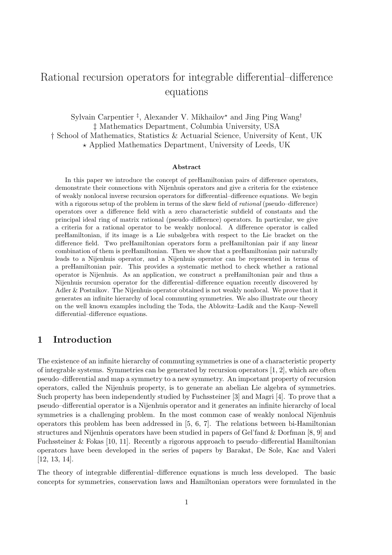# Rational recursion operators for integrable differential–difference equations

Sylvain Carpentier<sup>‡</sup>, Alexander V. Mikhailov<sup>\*</sup> and Jing Ping Wang<sup>†</sup> ‡ Mathematics Department, Columbia University, USA † School of Mathematics, Statistics & Actuarial Science, University of Kent, UK  $\star$  Applied Mathematics Department, University of Leeds, UK

#### Abstract

In this paper we introduce the concept of preHamiltonian pairs of difference operators, demonstrate their connections with Nijenhuis operators and give a criteria for the existence of weakly nonlocal inverse recursion operators for differential–difference equations. We begin with a rigorous setup of the problem in terms of the skew field of *rational* (pseudo–difference) operators over a difference field with a zero characteristic subfield of constants and the principal ideal ring of matrix rational (pseudo–difference) operators. In particular, we give a criteria for a rational operator to be weakly nonlocal. A difference operator is called preHamiltonian, if its image is a Lie subalgebra with respect to the Lie bracket on the difference field. Two preHamiltonian operators form a preHamiltonian pair if any linear combination of them is preHamiltonian. Then we show that a preHamiltonian pair naturally leads to a Nijenhuis operator, and a Nijenhuis operator can be represented in terms of a preHamiltonian pair. This provides a systematic method to check whether a rational operator is Nijenhuis. As an application, we construct a preHamiltonian pair and thus a Nijenhuis recursion operator for the differential–difference equation recently discovered by Adler & Postnikov. The Nijenhuis operator obtained is not weakly nonlocal. We prove that it generates an infinite hierarchy of local commuting symmetries. We also illustrate our theory on the well known examples including the Toda, the Ablowitz–Ladik and the Kaup–Newell differential–difference equations.

# 1 Introduction

The existence of an infinite hierarchy of commuting symmetries is one of a characteristic property of integrable systems. Symmetries can be generated by recursion operators [1, 2], which are often pseudo–differential and map a symmetry to a new symmetry. An important property of recursion operators, called the Nijenhuis property, is to generate an abelian Lie algebra of symmetries. Such property has been independently studied by Fuchssteiner [3] and Magri [4]. To prove that a pseudo–differential operator is a Nijenhuis operator and it generates an infinite hierarchy of local symmetries is a challenging problem. In the most common case of weakly nonlocal Nijenhuis operators this problem has been addressed in [5, 6, 7]. The relations between bi-Hamiltonian structures and Nijenhuis operators have been studied in papers of Gel'fand & Dorfman [8, 9] and Fuchssteiner & Fokas [10, 11]. Recently a rigorous approach to pseudo–differential Hamiltonian operators have been developed in the series of papers by Barakat, De Sole, Kac and Valeri [12, 13, 14].

The theory of integrable differential–difference equations is much less developed. The basic concepts for symmetries, conservation laws and Hamiltonian operators were formulated in the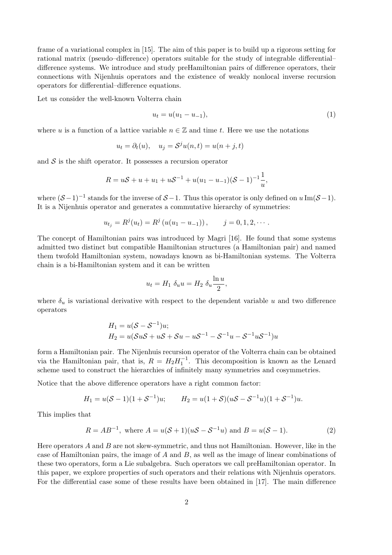frame of a variational complex in [15]. The aim of this paper is to build up a rigorous setting for rational matrix (pseudo–difference) operators suitable for the study of integrable differential– difference systems. We introduce and study preHamiltonian pairs of difference operators, their connections with Nijenhuis operators and the existence of weakly nonlocal inverse recursion operators for differential–difference equations.

Let us consider the well-known Volterra chain

$$
u_t = u(u_1 - u_{-1}), \t\t(1)
$$

where u is a function of a lattice variable  $n \in \mathbb{Z}$  and time t. Here we use the notations

$$
u_t = \partial_t(u), \quad u_j = \mathcal{S}^j u(n,t) = u(n+j,t)
$$

and  $S$  is the shift operator. It possesses a recursion operator

$$
R = uS + u + u_1 + uS^{-1} + u(u_1 - u_{-1})(S - 1)^{-1}\frac{1}{u},
$$

where  $(S-1)^{-1}$  stands for the inverse of  $S-1$ . Thus this operator is only defined on  $u \operatorname{Im}(\mathcal{S}-1)$ . It is a Nijenhuis operator and generates a commutative hierarchy of symmetries:

$$
u_{t_j} = R^j(u_t) = R^j(u(u_1 - u_{-1})), \qquad j = 0, 1, 2, \cdots.
$$

The concept of Hamiltonian pairs was introduced by Magri [16]. He found that some systems admitted two distinct but compatible Hamiltonian structures (a Hamiltonian pair) and named them twofold Hamiltonian system, nowadays known as bi-Hamiltonian systems. The Volterra chain is a bi-Hamiltonian system and it can be written

$$
u_t = H_1 \, \delta_u u = H_2 \, \delta_u \frac{\ln u}{2},
$$

where  $\delta_u$  is variational derivative with respect to the dependent variable u and two difference operators

$$
H_1 = u(S - S^{-1})u;
$$
  
\n
$$
H_2 = u(SuS + uS + Su - uS^{-1} - S^{-1}u - S^{-1}uS^{-1})u
$$

form a Hamiltonian pair. The Nijenhuis recursion operator of the Volterra chain can be obtained via the Hamiltonian pair, that is,  $R = H_2 H_1^{-1}$ . This decomposition is known as the Lenard scheme used to construct the hierarchies of infinitely many symmetries and cosymmetries.

Notice that the above difference operators have a right common factor:

$$
H_1 = u(S-1)(1+S^{-1})u; \qquad H_2 = u(1+S)(uS - S^{-1}u)(1+S^{-1})u.
$$

This implies that

$$
R = AB^{-1}
$$
, where  $A = u(S + 1)(uS - S^{-1}u)$  and  $B = u(S - 1)$ . (2)

Here operators  $A$  and  $B$  are not skew-symmetric, and thus not Hamiltonian. However, like in the case of Hamiltonian pairs, the image of  $A$  and  $B$ , as well as the image of linear combinations of these two operators, form a Lie subalgebra. Such operators we call preHamiltonian operator. In this paper, we explore properties of such operators and their relations with Nijenhuis operators. For the differential case some of these results have been obtained in [17]. The main difference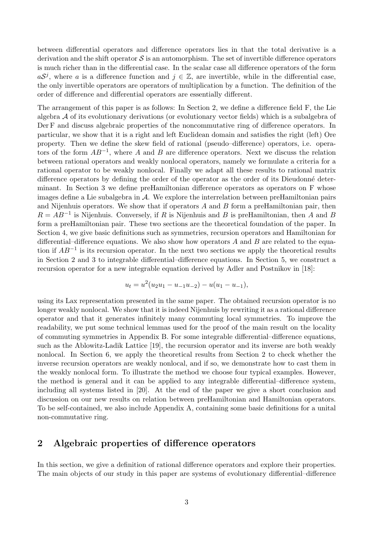between differential operators and difference operators lies in that the total derivative is a derivation and the shift operator  $\mathcal S$  is an automorphism. The set of invertible difference operators is much richer than in the differential case. In the scalar case all difference operators of the form  $a\mathcal{S}^j$ , where a is a difference function and  $j \in \mathbb{Z}$ , are invertible, while in the differential case, the only invertible operators are operators of multiplication by a function. The definition of the order of difference and differential operators are essentially different.

The arrangement of this paper is as follows: In Section 2, we define a difference field F, the Lie algebra  $A$  of its evolutionary derivations (or evolutionary vector fields) which is a subalgebra of Der F and discuss algebraic properties of the noncommutative ring of difference operators. In particular, we show that it is a right and left Euclidean domain and satisfies the right (left) Ore property. Then we define the skew field of rational (pseudo–difference) operators, i.e. operators of the form  $AB^{-1}$ , where A and B are difference operators. Next we discuss the relation between rational operators and weakly nonlocal operators, namely we formulate a criteria for a rational operator to be weakly nonlocal. Finally we adapt all these results to rational matrix difference operators by defining the order of the operator as the order of its Dieudonné determinant. In Section 3 we define preHamiltonian difference operators as operators on F whose images define a Lie subalgebra in A. We explore the interrelation between preHamiltonian pairs and Nijenhuis operators. We show that if operators  $A$  and  $B$  form a preHamiltonian pair, then  $R = AB^{-1}$  is Nijenhuis. Conversely, if R is Nijenhuis and B is preHamiltonian, then A and B form a preHamiltonian pair. These two sections are the theoretical foundation of the paper. In Section 4, we give basic definitions such as symmetries, recursion operators and Hamiltonian for differential–difference equations. We also show how operators  $A$  and  $B$  are related to the equation if  $AB^{-1}$  is its recursion operator. In the next two sections we apply the theoretical results in Section 2 and 3 to integrable differential–difference equations. In Section 5, we construct a recursion operator for a new integrable equation derived by Adler and Postnikov in [18]:

$$
u_t = u^2(u_2u_1 - u_{-1}u_{-2}) - u(u_1 - u_{-1}),
$$

using its Lax representation presented in the same paper. The obtained recursion operator is no longer weakly nonlocal. We show that it is indeed Nijenhuis by rewriting it as a rational difference operator and that it generates infinitely many commuting local symmetries. To improve the readability, we put some technical lemmas used for the proof of the main result on the locality of commuting symmetries in Appendix B. For some integrable differential–difference equations, such as the Ablowitz-Ladik Lattice [19], the recursion operator and its inverse are both weakly nonlocal. In Section 6, we apply the theoretical results from Section 2 to check whether the inverse recursion operators are weakly nonlocal, and if so, we demonstrate how to cast them in the weakly nonlocal form. To illustrate the method we choose four typical examples. However, the method is general and it can be applied to any integrable differential–difference system, including all systems listed in [20]. At the end of the paper we give a short conclusion and discussion on our new results on relation between preHamiltonian and Hamiltonian operators. To be self-contained, we also include Appendix A, containing some basic definitions for a unital non-commutative ring.

# 2 Algebraic properties of difference operators

In this section, we give a definition of rational difference operators and explore their properties. The main objects of our study in this paper are systems of evolutionary differential–difference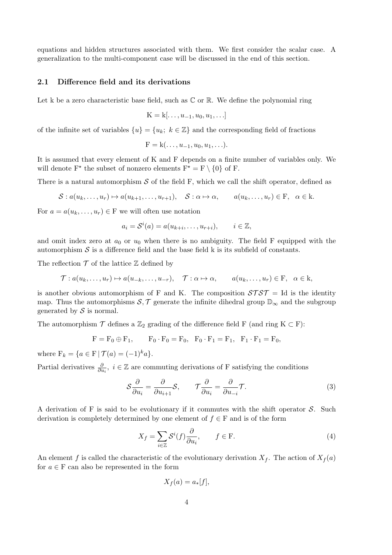equations and hidden structures associated with them. We first consider the scalar case. A generalization to the multi-component case will be discussed in the end of this section.

#### 2.1 Difference field and its derivations

Let k be a zero characteristic base field, such as  $\mathbb C$  or  $\mathbb R$ . We define the polynomial ring

$$
K = k[\ldots, u_{-1}, u_0, u_1, \ldots]
$$

of the infinite set of variables  $\{u\} = \{u_k; k \in \mathbb{Z}\}\$  and the corresponding field of fractions

$$
F = k(\ldots, u_{-1}, u_0, u_1, \ldots).
$$

It is assumed that every element of K and F depends on a finite number of variables only. We will denote  $F^*$  the subset of nonzero elements  $F^* = F \setminus \{0\}$  of F.

There is a natural automorphism  $S$  of the field F, which we call the shift operator, defined as

$$
S: a(u_k, \ldots, u_r) \mapsto a(u_{k+1}, \ldots, u_{r+1}), \quad S: \alpha \mapsto \alpha, \qquad a(u_k, \ldots, u_r) \in F, \quad \alpha \in k.
$$

For  $a = a(u_k, \ldots, u_r) \in F$  we will often use notation

$$
a_i = \mathcal{S}^i(a) = a(u_{k+i}, \dots, u_{r+i}), \qquad i \in \mathbb{Z},
$$

and omit index zero at  $a_0$  or  $u_0$  when there is no ambiguity. The field F equipped with the automorphism  $S$  is a difference field and the base field k is its subfield of constants.

The reflection  $\mathcal T$  of the lattice  $\mathbb Z$  defined by

$$
\mathcal{T}: a(u_k, \ldots, u_r) \mapsto a(u_{-k}, \ldots, u_{-r}), \quad \mathcal{T}: \alpha \mapsto \alpha, \qquad a(u_k, \ldots, u_r) \in \mathcal{F}, \quad \alpha \in \mathcal{K},
$$

is another obvious automorphism of F and K. The composition  $S\mathcal{T}ST = Id$  is the identity map. Thus the automorphisms  $S, \mathcal{T}$  generate the infinite dihedral group  $\mathbb{D}_{\infty}$  and the subgroup generated by  $S$  is normal.

The automorphism  $\mathcal T$  defines a  $\mathbb{Z}_2$  grading of the difference field F (and ring K  $\subset$  F):

$$
F = F_0 \oplus F_1, \qquad F_0 \cdot F_0 = F_0, \quad F_0 \cdot F_1 = F_1, \quad F_1 \cdot F_1 = F_0,
$$

where  $F_k = \{a \in F \mid \mathcal{T}(a) = (-1)^k a\}.$ 

Partial derivatives  $\frac{\partial}{\partial u_i}$ ,  $i \in \mathbb{Z}$  are commuting derivations of F satisfying the conditions

$$
S\frac{\partial}{\partial u_i} = \frac{\partial}{\partial u_{i+1}}S, \qquad \mathcal{T}\frac{\partial}{\partial u_i} = \frac{\partial}{\partial u_{-i}}\mathcal{T}.
$$
 (3)

A derivation of F is said to be evolutionary if it commutes with the shift operator  $S$ . Such derivation is completely determined by one element of  $f \in F$  and is of the form

$$
X_f = \sum_{i \in \mathbb{Z}} \mathcal{S}^i(f) \frac{\partial}{\partial u_i}, \qquad f \in \mathcal{F}.
$$
 (4)

An element f is called the characteristic of the evolutionary derivation  $X_f$ . The action of  $X_f(a)$ for  $a \in F$  can also be represented in the form

$$
X_f(a) = a_*[f],
$$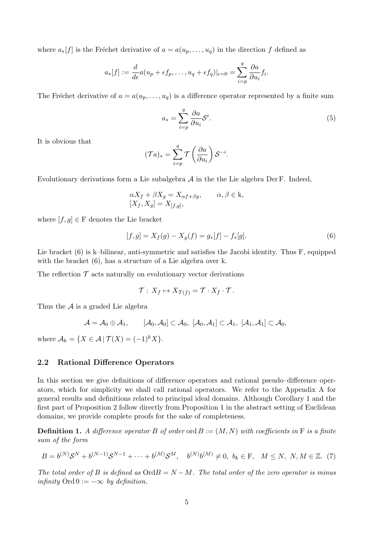where  $a_*[f]$  is the Fréchet derivative of  $a = a(u_p, \ldots, u_q)$  in the direction f defined as

$$
a_*[f] := \frac{d}{d\epsilon}a(u_p + \epsilon f_p, \dots, u_q + \epsilon f_q)|_{\epsilon=0} = \sum_{i=p}^q \frac{\partial a}{\partial u_i}f_i.
$$

The Fréchet derivative of  $a = a(u_p, \ldots, u_q)$  is a difference operator represented by a finite sum

$$
a_* = \sum_{i=p}^{q} \frac{\partial a}{\partial u_i} \mathcal{S}^i.
$$
 (5)

It is obvious that

$$
(\mathcal{T}a)_* = \sum_{i=p}^q \mathcal{T}\left(\frac{\partial a}{\partial u_i}\right) \mathcal{S}^{-i}.
$$

Evolutionary derivations form a Lie subalgebra  $A$  in the the Lie algebra Der F. Indeed,

$$
\alpha X_f + \beta X_g = X_{\alpha f + \beta g}, \qquad \alpha, \beta \in \mathbf{k},
$$
  

$$
[X_f, X_g] = X_{[f,g]},
$$

where  $[f, g] \in F$  denotes the Lie bracket

$$
[f,g] = X_f(g) - X_g(f) = g_*[f] - f_*[g].\tag{6}
$$

Lie bracket (6) is k–bilinear, anti-symmetric and satisfies the Jacobi identity. Thus F, equipped with the bracket  $(6)$ , has a structure of a Lie algebra over k.

The reflection  $\mathcal T$  acts naturally on evolutionary vector derivations

$$
\mathcal{T}: X_f \mapsto X_{\mathcal{T}(f)} = \mathcal{T} \cdot X_f \cdot \mathcal{T}.
$$

Thus the  $A$  is a graded Lie algebra

$$
\mathcal{A}=\mathcal{A}_0\oplus \mathcal{A}_1, \qquad [\mathcal{A}_0,\mathcal{A}_0]\subset \mathcal{A}_0,\ [\mathcal{A}_0,\mathcal{A}_1]\subset \mathcal{A}_1,\ [\mathcal{A}_1,\mathcal{A}_1]\subset \mathcal{A}_0,
$$

where  $\mathcal{A}_k = \{X \in \mathcal{A} | \mathcal{T}(X) = (-1)^k X\}.$ 

#### 2.2 Rational Difference Operators

In this section we give definitions of difference operators and rational pseudo–difference operators, which for simplicity we shall call rational operators. We refer to the Appendix A for general results and definitions related to principal ideal domains. Although Corollary 1 and the first part of Proposition 2 follow directly from Proposition 1 in the abstract setting of Euclidean domains, we provide complete proofs for the sake of completeness.

**Definition 1.** A difference operator B of order ord  $B := (M, N)$  with coefficients in F is a finite sum of the form

$$
B = b^{(N)}S^{N} + b^{(N-1)}S^{N-1} + \dots + b^{(M)}S^{M}, \quad b^{(N)}b^{(M)} \neq 0, \ b_{k} \in F, \quad M \leq N, \ N, M \in \mathbb{Z}.
$$
 (7)

The total order of B is defined as  $\text{Ord} B = N - M$ . The total order of the zero operator is minus infinity  $\text{Ord } 0 := -\infty$  by definition.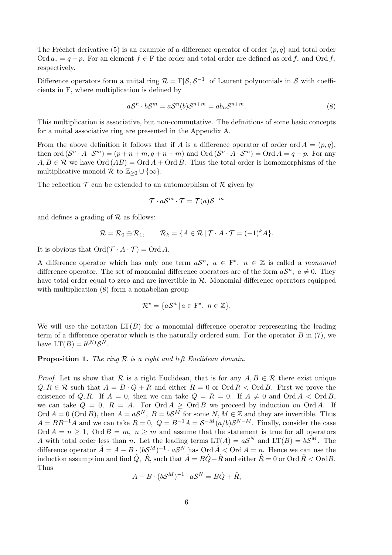The Fréchet derivative (5) is an example of a difference operator of order  $(p, q)$  and total order Ord  $a_* = q - p$ . For an element  $f \in F$  the order and total order are defined as ord  $f_*$  and Ord  $f_*$ respectively.

Difference operators form a unital ring  $\mathcal{R} = F[\mathcal{S}, \mathcal{S}^{-1}]$  of Laurent polynomials in S with coefficients in F, where multiplication is defined by

$$
aS^n \cdot bS^m = aS^n(b)S^{n+m} = ab_nS^{n+m}.
$$
\n(8)

This multiplication is associative, but non-commutative. The definitions of some basic concepts for a unital associative ring are presented in the Appendix A.

From the above definition it follows that if A is a difference operator of order ord  $A = (p, q)$ , then ord  $(S^n \cdot A \cdot S^m) = (p + n + m, q + n + m)$  and  $\text{Ord}(S^n \cdot A \cdot S^m) = \text{Ord } A = q - p$ . For any  $A, B \in \mathcal{R}$  we have  $\text{Ord}(AB) = \text{Ord}A + \text{Ord}B$ . Thus the total order is homomorphisms of the multiplicative monoid  $\mathcal R$  to  $\mathbb{Z}_{\geq 0} \cup \{\infty\}.$ 

The reflection  $\mathcal T$  can be extended to an automorphism of  $\mathcal R$  given by

$$
\mathcal{T} \cdot a\mathcal{S}^m \cdot \mathcal{T} = \mathcal{T}(a)\mathcal{S}^{-m}
$$

and defines a grading of  $R$  as follows:

$$
\mathcal{R} = \mathcal{R}_0 \oplus \mathcal{R}_1, \qquad \mathcal{R}_k = \{ A \in \mathcal{R} \mid \mathcal{T} \cdot A \cdot \mathcal{T} = (-1)^k A \}.
$$

It is obvious that  $\mathrm{Ord}(\mathcal{T} \cdot A \cdot \mathcal{T}) = \mathrm{Ord} A$ .

A difference operator which has only one term  $aS^n$ ,  $a \in F^*$ ,  $n \in \mathbb{Z}$  is called a *monomial* difference operator. The set of monomial difference operators are of the form  $aS<sup>n</sup>$ ,  $a \neq 0$ . They have total order equal to zero and are invertible in  $R$ . Monomial difference operators equipped with multiplication (8) form a nonabelian group

$$
\mathcal{R}^* = \{ a\mathcal{S}^n \mid a \in \mathcal{F}^*, \ n \in \mathbb{Z} \}.
$$

We will use the notation  $LT(B)$  for a monomial difference operator representing the leading term of a difference operator which is the naturally ordered sum. For the operator  $B$  in (7), we have  $LT(B) = b^{(N)}S^N$ .

**Proposition 1.** The ring  $\mathcal R$  is a right and left Euclidean domain.

*Proof.* Let us show that R is a right Euclidean, that is for any  $A, B \in \mathcal{R}$  there exist unique  $Q, R \in \mathcal{R}$  such that  $A = B \cdot Q + R$  and either  $R = 0$  or  $\text{Ord } R < \text{Ord } B$ . First we prove the existence of Q, R. If  $A = 0$ , then we can take  $Q = R = 0$ . If  $A \neq 0$  and  $\text{Ord } A < \text{Ord } B$ , we can take  $Q = 0$ ,  $R = A$ . For  $\text{Ord } A \geq \text{Ord } B$  we proceed by induction on  $\text{Ord } A$ . If Ord  $A = 0$  (Ord B), then  $A = aS^N$ ,  $B = bS^M$  for some  $N, M \in \mathbb{Z}$  and they are invertible. Thus  $A = BB^{-1}A$  and we can take  $R = 0$ ,  $Q = B^{-1}A = S^{-M}(a/b)S^{N-M}$ . Finally, consider the case Ord  $A = n \ge 1$ , Ord  $B = m$ ,  $n \ge m$  and assume that the statement is true for all operators A with total order less than n. Let the leading terms  $LT(A) = aS^N$  and  $LT(B) = bS^M$ . The difference operator  $\hat{A} = A - B \cdot (bS^M)^{-1} \cdot aS^N$  has  $\text{Ord } \hat{A} < \text{Ord } A = n$ . Hence we can use the induction assumption and find  $\hat{Q}$ ,  $\hat{R}$ , such that  $\hat{A} = B\hat{Q} + \hat{R}$  and either  $\hat{R} = 0$  or Ord  $\hat{R} < \text{Ord} B$ . Thus

$$
A - B \cdot (bS^M)^{-1} \cdot aS^N = B\hat{Q} + \hat{R},
$$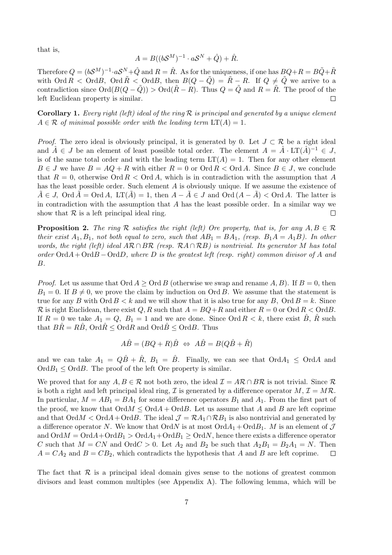that is,

$$
A = B((bS^M)^{-1} \cdot aS^N + \hat{Q}) + \hat{R}.
$$

Therefore  $Q = (bS^M)^{-1} \cdot aS^N + \hat{Q}$  and  $R = \hat{R}$ . As for the uniqueness, if one has  $BQ + R = B\tilde{Q} + \tilde{R}$ with  $\text{Ord } R < \text{Ord } \tilde{R} < \text{Ord } B$ , then  $B(Q - \tilde{Q}) = \tilde{R} - R$ . If  $Q \neq \tilde{Q}$  we arrive to a contradiction since  $\text{Ord}(B(Q-\tilde{Q}))$  >  $\text{Ord}(\tilde{R}-R)$ . Thus  $Q=\tilde{Q}$  and  $R=\tilde{R}$ . The proof of the left Euclidean property is similar.  $\Box$ 

**Corollary 1.** Every right (left) ideal of the ring  $\mathcal{R}$  is principal and generated by a unique element  $A \in \mathcal{R}$  of minimal possible order with the leading term  $LT(A) = 1$ .

*Proof.* The zero ideal is obviously principal, it is generated by 0. Let  $J \subset \mathcal{R}$  be a right ideal and  $\hat{A} \in J$  be an element of least possible total order. The element  $A = \hat{A} \cdot LT(\hat{A})^{-1} \in J$ , is of the same total order and with the leading term  $LT(A) = 1$ . Then for any other element  $B \in J$  we have  $B = AQ + R$  with either  $R = 0$  or  $\text{Ord } R < \text{Ord } A$ . Since  $B \in J$ , we conclude that  $R = 0$ , otherwise Ord  $R <$  Ord A, which is in contradiction with the assumption that A has the least possible order. Such element A is obviously unique. If we assume the existence of  $\tilde{A} \in J$ ,  $\text{Ord } \tilde{A} = \text{Ord } A$ ,  $LT(\tilde{A}) = 1$ , then  $A - \tilde{A} \in J$  and  $\text{Ord } (A - \tilde{A}) < \text{Ord } A$ . The latter is in contradiction with the assumption that  $A$  has the least possible order. In a similar way we show that  $R$  is a left principal ideal ring.  $\Box$ 

**Proposition 2.** The ring R satisfies the right (left) Ore property, that is, for any  $A, B \in \mathcal{R}$ their exist  $A_1, B_1$ , not both equal to zero, such that  $AB_1 = BA_1$ , (resp.  $B_1A = A_1B$ ). In other words, the right (left) ideal AR ∩ BR (resp.  $R A \cap RB$ ) is nontrivial. Its generator M has total order  $\text{Ord}A+\text{Ord}B-\text{Ord}D$ , where D is the greatest left (resp. right) common divisor of A and B.

*Proof.* Let us assume that  $\text{Ord }A \geq \text{Ord }B$  (otherwise we swap and rename A, B). If  $B=0$ , then  $B_1 = 0$ . If  $B \neq 0$ , we prove the claim by induction on Ord B. We assume that the statement is true for any B with  $\text{Ord }B < k$  and we will show that it is also true for any B,  $\text{Ord }B = k$ . Since R is right Euclidean, there exist  $Q, R$  such that  $A = BQ + R$  and either  $R = 0$  or  $\text{Ord } R < \text{Ord } B$ . If  $R = 0$  we take  $A_1 = Q$ ,  $B_1 = 1$  and we are done. Since Ord  $R < k$ , there exist  $\hat{B}$ ,  $\hat{R}$  such that  $B\hat{R} = R\hat{B}$ ,  $\text{Ord}\hat{R} \leq \text{Ord}R$  and  $\text{Ord}\hat{B} \leq \text{Ord}B$ . Thus

$$
A\hat{B} = (BQ + R)\hat{B} \Leftrightarrow A\hat{B} = B(Q\hat{B} + \hat{R})
$$

and we can take  $A_1 = Q\hat{B} + \hat{R}$ ,  $B_1 = \hat{B}$ . Finally, we can see that  $\text{Ord}_{1} \leq \text{Ord}_{1}$  and  $\text{Ord}B_1 \leq \text{Ord}B$ . The proof of the left Ore property is similar.

We proved that for any  $A, B \in \mathcal{R}$  not both zero, the ideal  $\mathcal{I} = A\mathcal{R} \cap B\mathcal{R}$  is not trivial. Since  $\mathcal{R}$ is both a right and left principal ideal ring,  $\mathcal I$  is generated by a difference operator  $M, \mathcal I = M\mathcal R$ . In particular,  $M = AB_1 = BA_1$  for some difference operators  $B_1$  and  $A_1$ . From the first part of the proof, we know that  $\mathrm{Ord}A\leq \mathrm{Ord}A+\mathrm{Ord}B$ . Let us assume that A and B are left coprime and that  $\text{Ord}\times \text{Ord}+\text{Ord}\mathcal{B}$ . The ideal  $\mathcal{J}=\mathcal{R}A_1\cap\mathcal{R}B_1$  is also nontrivial and generated by a difference operator N. We know that OrdN is at most  $\text{Ord}_{1}$  +  $\text{Ord}_{1}$ . M is an element of  $\mathcal J$ and  $\text{Ord}M = \text{Ord}A + \text{Ord}B_1 > \text{Ord}A_1 + \text{Ord}B_1 \geq \text{Ord}N$ , hence there exists a difference operator C such that  $M = CN$  and  $\text{Ord }C > 0$ . Let  $A_2$  and  $B_2$  be such that  $A_2B_1 = B_2A_1 = N$ . Then  $A = CA_2$  and  $B = CB_2$ , which contradicts the hypothesis that A and B are left coprime.  $\Box$ 

The fact that  $\mathcal R$  is a principal ideal domain gives sense to the notions of greatest common divisors and least common multiples (see Appendix A). The following lemma, which will be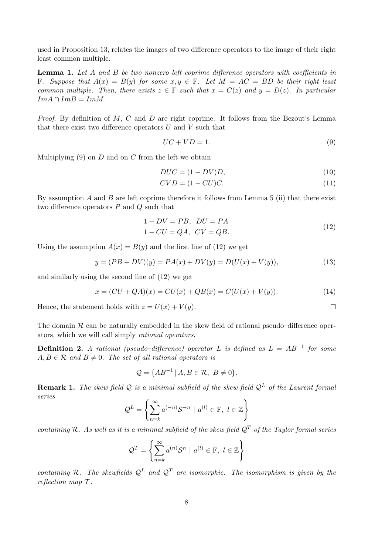used in Proposition 13, relates the images of two difference operators to the image of their right least common multiple.

Lemma 1. Let A and B be two nonzero left coprime difference operators with coefficients in F. Suppose that  $A(x) = B(y)$  for some  $x, y \in F$ . Let  $M = AC = BD$  be their right least common multiple. Then, there exists  $z \in F$  such that  $x = C(z)$  and  $y = D(z)$ . In particular  $Im A \cap Im B = Im M$ .

*Proof.* By definition of M, C and D are right coprime. It follows from the Bezout's Lemma that there exist two difference operators  $U$  and  $V$  such that

$$
UC + VD = 1.\t\t(9)
$$

Multiplying  $(9)$  on D and on C from the left we obtain

$$
DUC = (1 - DV)D,\t(10)
$$

$$
CVD = (1 - CU)C.\t(11)
$$

By assumption  $A$  and  $B$  are left coprime therefore it follows from Lemma 5 (ii) that there exist two difference operators  $P$  and  $Q$  such that

$$
1 - DV = PB, DU = PA
$$
  

$$
1 - CU = QA, CV = QB.
$$
 (12)

 $\Box$ 

Using the assumption  $A(x) = B(y)$  and the first line of (12) we get

$$
y = (PB + DV)(y) = PA(x) + DV(y) = D(U(x) + V(y)),
$$
\n(13)

and similarly using the second line of (12) we get

$$
x = (CU + QA)(x) = CU(x) + QB(x) = C(U(x) + V(y)).
$$
\n(14)

Hence, the statement holds with  $z = U(x) + V(y)$ .

The domain  $\mathcal R$  can be naturally embedded in the skew field of rational pseudo–difference operators, which we will call simply rational operators.

**Definition 2.** A rational (pseudo–difference) operator L is defined as  $L = AB^{-1}$  for some  $A, B \in \mathcal{R}$  and  $B \neq 0$ . The set of all rational operators is

$$
\mathcal{Q} = \{ AB^{-1} | A, B \in \mathcal{R}, B \neq 0 \}.
$$

**Remark 1.** The skew field Q is a minimal subfield of the skew field  $Q^L$  of the Laurent formal series

$$
\mathcal{Q}^{L} = \left\{ \sum_{n=k}^{\infty} a^{(-n)} \mathcal{S}^{-n} \mid a^{(l)} \in \mathcal{F}, \ l \in \mathbb{Z} \right\}
$$

containing R. As well as it is a minimal subfield of the skew field  $\mathcal{Q}^T$  of the Taylor formal series

$$
\mathcal{Q}^T = \left\{ \sum_{n=k}^{\infty} a^{(n)} \mathcal{S}^n \mid a^{(l)} \in \mathcal{F}, \ l \in \mathbb{Z} \right\}
$$

containing R. The skewfields  $Q^L$  and  $Q^T$  are isomorphic. The isomorphism is given by the reflection map  $\mathcal{T}$ .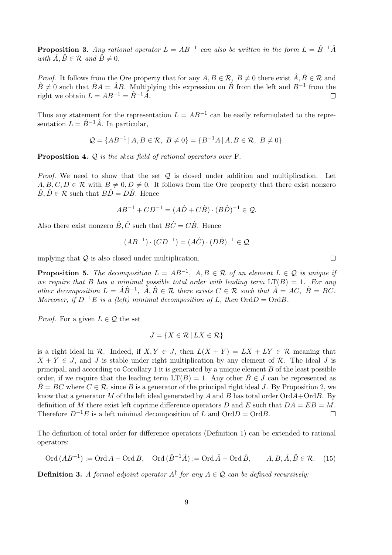**Proposition 3.** Any rational operator  $L = AB^{-1}$  can also be written in the form  $L = \hat{B}^{-1}\hat{A}$ with  $\hat{A}$ ,  $\hat{B} \in \mathcal{R}$  and  $\hat{B} \neq 0$ .

*Proof.* It follows from the Ore property that for any  $A, B \in \mathcal{R}$ ,  $B \neq 0$  there exist  $\hat{A}, \hat{B} \in \mathcal{R}$  and  $\hat{B} \neq 0$  such that  $\hat{B}A = \hat{A}B$ . Multiplying this expression on  $\hat{B}$  from the left and  $B^{-1}$  from the right we obtain  $L = AB^{-1} = \hat{B}^{-1}\hat{A}$ .  $\Box$ 

Thus any statement for the representation  $L = AB^{-1}$  can be easily reformulated to the representation  $L = \hat{B}^{-1}\hat{A}$ . In particular,

$$
Q = \{AB^{-1} | A, B \in \mathcal{R}, B \neq 0\} = \{B^{-1}A | A, B \in \mathcal{R}, B \neq 0\}.
$$

Proposition 4. Q is the skew field of rational operators over F.

*Proof.* We need to show that the set  $Q$  is closed under addition and multiplication. Let  $A, B, C, D \in \mathcal{R}$  with  $B \neq 0, D \neq 0$ . It follows from the Ore property that there exist nonzero  $\hat{B}, \hat{D} \in \mathcal{R}$  such that  $B\hat{D} = D\hat{B}$ . Hence

$$
AB^{-1} + CD^{-1} = (A\hat{D} + C\hat{B}) \cdot (B\hat{D})^{-1} \in \mathcal{Q}.
$$

Also there exist nonzero  $\hat{B}, \hat{C}$  such that  $B\hat{C} = C\hat{B}$ . Hence

$$
(AB^{-1}) \cdot (CD^{-1}) = (A\hat{C}) \cdot (D\hat{B})^{-1} \in \mathcal{Q}
$$

implying that  $\mathcal Q$  is also closed under multiplication.

**Proposition 5.** The decomposition  $L = AB^{-1}$ ,  $A, B \in \mathcal{R}$  of an element  $L \in \mathcal{Q}$  is unique if we require that B has a minimal possible total order with leading term  $LT(B) = 1$ . For any other decomposition  $L = \hat{A}\hat{B}^{-1}$ ,  $\hat{A}, \hat{B} \in \mathcal{R}$  there exists  $C \in \mathcal{R}$  such that  $\hat{A} = AC$ ,  $\hat{B} = BC$ . Moreover, if  $D^{-1}E$  is a (left) minimal decomposition of L, then  $\text{Ord }D = \text{Ord }B$ .

*Proof.* For a given  $L \in \mathcal{Q}$  the set

$$
J = \{ X \in \mathcal{R} \mid LX \in \mathcal{R} \}
$$

is a right ideal in R. Indeed, if  $X, Y \in J$ , then  $L(X + Y) = LX + LY \in \mathcal{R}$  meaning that  $X + Y \in J$ , and J is stable under right multiplication by any element of R. The ideal J is principal, and according to Corollary 1 it is generated by a unique element  $B$  of the least possible order, if we require that the leading term  $LT(B) = 1$ . Any other  $\hat{B} \in J$  can be represented as  $\hat{B} = BC$  where  $C \in \mathcal{R}$ , since B is a generator of the principal right ideal J. By Proposition 2, we know that a generator M of the left ideal generated by A and B has total order  $\text{Ord}+ \text{Ord}B$ . By definition of M there exist left coprime difference operators D and E such that  $DA = EB = M$ . Therefore  $D^{-1}E$  is a left minimal decomposition of L and  $\text{Ord}D = \text{Ord}B$ .  $\Box$ 

The definition of total order for difference operators (Definition 1) can be extended to rational operators:

$$
Ord(AB^{-1}):=Ord\ A-Ord\ B, \quad Ord(\hat{B}^{-1}\hat{A}):=Ord\hat{A}-Ord\hat{B}, \qquad A,B,\hat{A},\hat{B}\in\mathcal{R}.
$$
 (15)

**Definition 3.** A formal adjoint operator  $A^{\dagger}$  for any  $A \in \mathcal{Q}$  can be defined recursively:

 $\Box$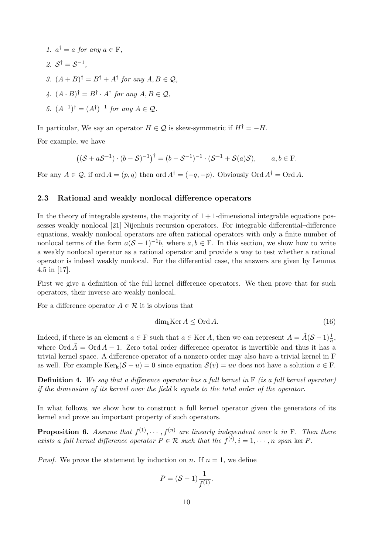1.  $a^{\dagger} = a$  for any  $a \in F$ , 2.  $S^{\dagger} = S^{-1}$ , 3.  $(A + B)^{\dagger} = B^{\dagger} + A^{\dagger}$  for any  $A, B \in \mathcal{Q}$ , 4.  $(A \cdot B)^{\dagger} = B^{\dagger} \cdot A^{\dagger}$  for any  $A, B \in \mathcal{Q}$ , 5.  $(A^{-1})^{\dagger} = (A^{\dagger})^{-1}$  for any  $A \in \mathcal{Q}$ .

In particular, We say an operator  $H \in \mathcal{Q}$  is skew-symmetric if  $H^{\dagger} = -H$ .

For example, we have

$$
((\mathcal{S} + a\mathcal{S}^{-1}) \cdot (b - \mathcal{S})^{-1})^{\dagger} = (b - \mathcal{S}^{-1})^{-1} \cdot (\mathcal{S}^{-1} + \mathcal{S}(a)\mathcal{S}), \qquad a, b \in \mathcal{F}.
$$

For any  $A \in \mathcal{Q}$ , if ord  $A = (p, q)$  then ord  $A^{\dagger} = (-q, -p)$ . Obviously Ord  $A^{\dagger} = \text{Ord }A$ .

## 2.3 Rational and weakly nonlocal difference operators

In the theory of integrable systems, the majority of  $1 + 1$ -dimensional integrable equations possesses weakly nonlocal [21] Nijenhuis recursion operators. For integrable differential–difference equations, weakly nonlocal operators are often rational operators with only a finite number of nonlocal terms of the form  $a(S-1)^{-1}b$ , where  $a, b \in F$ . In this section, we show how to write a weakly nonlocal operator as a rational operator and provide a way to test whether a rational operator is indeed weakly nonlocal. For the differential case, the answers are given by Lemma 4.5 in [17].

First we give a definition of the full kernel difference operators. We then prove that for such operators, their inverse are weakly nonlocal.

For a difference operator  $A \in \mathcal{R}$  it is obvious that

$$
\dim_{k} \operatorname{Ker} A \leq \operatorname{Ord} A. \tag{16}
$$

Indeed, if there is an element  $a \in F$  such that  $a \in \text{Ker } A$ , then we can represent  $A = \tilde{A}(\mathcal{S} - 1)\frac{1}{a}$ , where Ord  $\tilde{A} = \text{Ord }A - 1$ . Zero total order difference operator is invertible and thus it has a trivial kernel space. A difference operator of a nonzero order may also have a trivial kernel in F as well. For example  $\text{Ker}_k(\mathcal{S} - u) = 0$  since equation  $\mathcal{S}(v) = uv$  does not have a solution  $v \in \mathbb{F}$ .

**Definition 4.** We say that a difference operator has a full kernel in  $\mathbf{F}$  (is a full kernel operator) if the dimension of its kernel over the field k equals to the total order of the operator.

In what follows, we show how to construct a full kernel operator given the generators of its kernel and prove an important property of such operators.

**Proposition 6.** Assume that  $f^{(1)}, \dots, f^{(n)}$  are linearly independent over k in F. Then there exists a full kernel difference operator  $P \in \mathcal{R}$  such that the  $f^{(i)}$ ,  $i = 1, \dots, n$  span ker P.

*Proof.* We prove the statement by induction on n. If  $n = 1$ , we define

$$
P = (\mathcal{S} - 1) \frac{1}{f^{(1)}}.
$$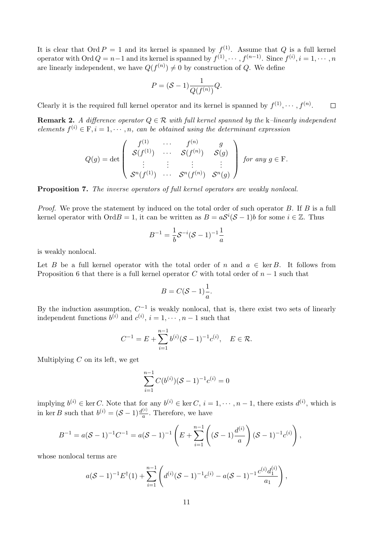It is clear that Ord  $P = 1$  and its kernel is spanned by  $f^{(1)}$ . Assume that Q is a full kernel operator with Ord  $Q = n-1$  and its kernel is spanned by  $f^{(1)}, \cdots, f^{(n-1)}$ . Since  $f^{(i)}, i = 1, \cdots, n$ are linearly independent, we have  $Q(f^{(n)}) \neq 0$  by construction of Q. We define

$$
P = (\mathcal{S} - 1) \frac{1}{Q(f^{(n)})} Q.
$$

Clearly it is the required full kernel operator and its kernel is spanned by  $f^{(1)}, \dots, f^{(n)}$ .  $\Box$ 

**Remark 2.** A difference operator  $Q \in \mathcal{R}$  with full kernel spanned by the k–linearly independent elements  $f^{(i)} \in \mathbb{F}$ ,  $i = 1, \dots, n$ , can be obtained using the determinant expression

$$
Q(g) = \det \left( \begin{array}{cccc} f^{(1)} & \cdots & f^{(n)} & g \\ \mathcal{S}(f^{(1)}) & \cdots & \mathcal{S}(f^{(n)}) & \mathcal{S}(g) \\ \vdots & \vdots & \vdots & \vdots \\ \mathcal{S}^n(f^{(1)}) & \cdots & \mathcal{S}^n(f^{(n)}) & \mathcal{S}^n(g) \end{array} \right) \text{ for any } g \in \mathcal{F}.
$$

Proposition 7. The inverse operators of full kernel operators are weakly nonlocal.

Proof. We prove the statement by induced on the total order of such operator B. If B is a full kernel operator with Ord $B = 1$ , it can be written as  $B = aS^{i}(\mathcal{S} - 1)b$  for some  $i \in \mathbb{Z}$ . Thus

$$
B^{-1} = \frac{1}{b} S^{-i} (S - 1)^{-1} \frac{1}{a}
$$

is weakly nonlocal.

Let B be a full kernel operator with the total order of n and  $a \in \text{ker } B$ . It follows from Proposition 6 that there is a full kernel operator C with total order of  $n-1$  such that

$$
B = C(S-1)\frac{1}{a}.
$$

By the induction assumption,  $C^{-1}$  is weakly nonlocal, that is, there exist two sets of linearly independent functions  $b^{(i)}$  and  $c^{(i)}$ ,  $i = 1, \dots, n-1$  such that

$$
C^{-1} = E + \sum_{i=1}^{n-1} b^{(i)} (\mathcal{S} - 1)^{-1} c^{(i)}, \quad E \in \mathcal{R}.
$$

Multiplying  $C$  on its left, we get

$$
\sum_{i=1}^{n-1} C(b^{(i)}) (S-1)^{-1} c^{(i)} = 0
$$

implying  $b^{(i)} \in \text{ker } C$ . Note that for any  $b^{(i)} \in \text{ker } C$ ,  $i = 1, \dots, n-1$ , there exists  $d^{(i)}$ , which is in ker B such that  $b^{(i)} = (\mathcal{S} - 1) \frac{d^{(i)}}{a}$  $\frac{a}{a}$ . Therefore, we have

$$
B^{-1} = a(S-1)^{-1}C^{-1} = a(S-1)^{-1}\left(E + \sum_{i=1}^{n-1} \left((S-1)\frac{d^{(i)}}{a}\right)(S-1)^{-1}c^{(i)}\right),
$$

whose nonlocal terms are

$$
a(S-1)^{-1}E^{\dagger}(1)+\sum_{i=1}^{n-1}\left(d^{(i)}(S-1)^{-1}c^{(i)}-a(S-1)^{-1}\frac{c^{(i)}d_1^{(i)}}{a_1}\right),\,
$$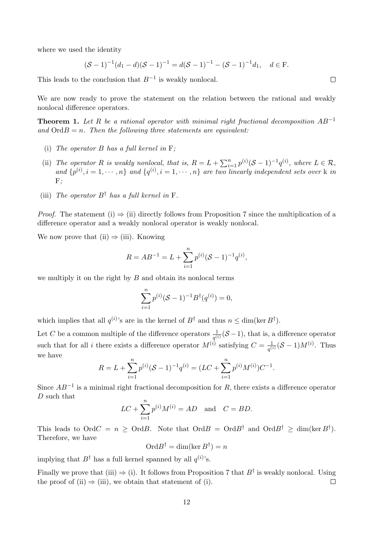where we used the identity

$$
(\mathcal{S}-1)^{-1}(d_1-d)(\mathcal{S}-1)^{-1}=d(\mathcal{S}-1)^{-1}-(\mathcal{S}-1)^{-1}d_1, \quad d \in \mathcal{F}.
$$

This leads to the conclusion that  $B^{-1}$  is weakly nonlocal.

We are now ready to prove the statement on the relation between the rational and weakly nonlocal difference operators.

**Theorem 1.** Let R be a rational operator with minimal right fractional decomposition  $AB^{-1}$ and  $\mathrm{Ord}B=n$ . Then the following three statements are equivalent:

- (i) The operator  $B$  has a full kernel in  $F$ :
- (ii) The operator R is weakly nonlocal, that is,  $R = L + \sum_{i=1}^{n} p^{(i)} (\mathcal{S} 1)^{-1} q^{(i)}$ , where  $L \in \mathcal{R}$ , and  $\{p^{(i)}, i = 1, \dots, n\}$  and  $\{q^{(i)}, i = 1, \dots, n\}$  are two linearly independent sets over k in  $F:$
- (iii) The operator  $B^{\dagger}$  has a full kernel in F.

*Proof.* The statement (i)  $\Rightarrow$  (ii) directly follows from Proposition 7 since the multiplication of a difference operator and a weakly nonlocal operator is weakly nonlocal.

We now prove that (ii)  $\Rightarrow$  (iii). Knowing

$$
R = AB^{-1} = L + \sum_{i=1}^{n} p^{(i)} (\mathcal{S} - 1)^{-1} q^{(i)},
$$

we multiply it on the right by  $B$  and obtain its nonlocal terms

$$
\sum_{i=1}^{n} p^{(i)} (\mathcal{S} - 1)^{-1} B^{\dagger} (q^{(i)}) = 0,
$$

which implies that all  $q^{(i)}$ 's are in the kernel of  $B^{\dagger}$  and thus  $n \leq \dim(\ker B^{\dagger})$ .

Let C be a common multiple of the difference operators  $\frac{1}{q^{(i)}}(S-1)$ , that is, a difference operator such that for all i there exists a difference operator  $M^{(i)}$  satisfying  $C = \frac{1}{\sqrt{2}}$  $\frac{1}{q^{(i)}}(S-1)M^{(i)}$ . Thus we have

$$
R = L + \sum_{i=1}^{n} p^{(i)} (\mathcal{S} - 1)^{-1} q^{(i)} = (LC + \sum_{i=1}^{n} p^{(i)} M^{(i)}) C^{-1}.
$$

Since  $AB^{-1}$  is a minimal right fractional decomposition for R, there exists a difference operator D such that

$$
LC + \sum_{i=1}^{n} p^{(i)} M^{(i)} = AD \text{ and } C = BD.
$$

This leads to  $\text{Ord }C = n \geq \text{Ord }B$ . Note that  $\text{Ord }B = \text{Ord }B^{\dagger}$  and  $\text{Ord }B^{\dagger} \geq \dim(\ker B^{\dagger})$ . Therefore, we have

 $\mathrm{Ord} B^{\dagger}=\dim(\ker B^{\dagger})=n$ 

implying that  $B^{\dagger}$  has a full kernel spanned by all  $q^{(i)}$ 's.

Finally we prove that (iii)  $\Rightarrow$  (i). It follows from Proposition 7 that  $B^{\dagger}$  is weakly nonlocal. Using the proof of (ii)  $\Rightarrow$  (iii), we obtain that statement of (i).  $\Box$ 

 $\Box$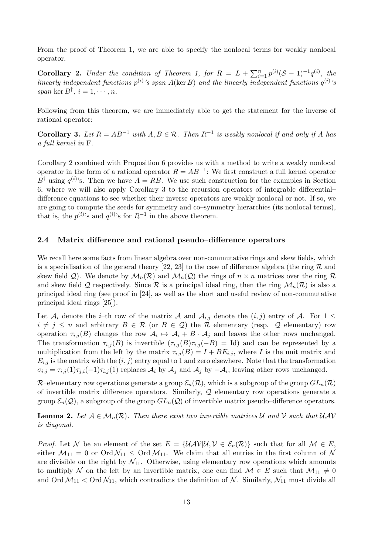From the proof of Theorem 1, we are able to specify the nonlocal terms for weakly nonlocal operator.

**Corollary 2.** Under the condition of Theorem 1, for  $R = L + \sum_{i=1}^{n} p^{(i)} (\mathcal{S} - 1)^{-1} q^{(i)}$ , the linearly independent functions  $p^{(i)}$ 's span A(ker B) and the linearly independent functions  $q^{(i)}$ 's span ker  $B^{\dagger}$ ,  $i = 1, \cdots, n$ .

Following from this theorem, we are immediately able to get the statement for the inverse of rational operator:

**Corollary 3.** Let  $R = AB^{-1}$  with  $A, B \in \mathcal{R}$ . Then  $R^{-1}$  is weakly nonlocal if and only if A has a full kernel in F.

Corollary 2 combined with Proposition 6 provides us with a method to write a weakly nonlocal operator in the form of a rational operator  $R = AB^{-1}$ : We first construct a full kernel operator  $B^{\dagger}$  using  $q^{(i)}$ 's. Then we have  $A = RB$ . We use such construction for the examples in Section 6, where we will also apply Corollary 3 to the recursion operators of integrable differential– difference equations to see whether their inverse operators are weakly nonlocal or not. If so, we are going to compute the seeds for symmetry and co–symmetry hierarchies (its nonlocal terms), that is, the  $p^{(i)}$ 's and  $q^{(i)}$ 's for  $R^{-1}$  in the above theorem.

#### 2.4 Matrix difference and rational pseudo–difference operators

We recall here some facts from linear algebra over non-commutative rings and skew fields, which is a specialisation of the general theory [22, 23] to the case of difference algebra (the ring  $\mathcal R$  and skew field Q). We denote by  $\mathcal{M}_n(\mathcal{R})$  and  $\mathcal{M}_n(\mathcal{Q})$  the rings of  $n \times n$  matrices over the ring  $\mathcal R$ and skew field Q respectively. Since R is a principal ideal ring, then the ring  $\mathcal{M}_n(\mathcal{R})$  is also a principal ideal ring (see proof in [24], as well as the short and useful review of non-commutative principal ideal rings [25]).

Let  $\mathcal{A}_i$  denote the *i*–th row of the matrix  $\mathcal{A}$  and  $\mathcal{A}_{i,j}$  denote the  $(i, j)$  entry of  $\mathcal{A}$ . For  $1 \leq$  $i \neq j \leq n$  and arbitrary  $B \in \mathcal{R}$  (or  $B \in \mathcal{Q}$ ) the R–elementary (resp.  $\mathcal{Q}$ –elementary) row operation  $\tau_{i,j}(B)$  changes the row  $A_i \mapsto A_i + B \cdot A_j$  and leaves the other rows unchanged. The transformation  $\tau_{i,j}(B)$  is invertible  $(\tau_{i,j}(B)\tau_{i,j}(-B) = \text{Id})$  and can be represented by a multiplication from the left by the matrix  $\tau_{i,j}(B) = I + BE_{i,j}$ , where I is the unit matrix and  $E_{i,j}$  is the matrix with the  $(i, j)$  entry equal to 1 and zero elsewhere. Note that the transformation  $\sigma_{i,j} = \tau_{i,j}(1)\tau_{j,i}(-1)\tau_{i,j}(1)$  replaces  $\mathcal{A}_i$  by  $\mathcal{A}_j$  and  $\mathcal{A}_j$  by  $-\mathcal{A}_i$ , leaving other rows unchanged.

R–elementary row operations generate a group  $\mathcal{E}_n(\mathcal{R})$ , which is a subgroup of the group  $GL_n(\mathcal{R})$ of invertible matrix difference operators. Similarly, Q–elementary row operations generate a group  $\mathcal{E}_n(\mathcal{Q})$ , a subgroup of the group  $GL_n(\mathcal{Q})$  of invertible matrix pseudo–difference operators.

**Lemma 2.** Let  $A \in \mathcal{M}_n(\mathcal{R})$ . Then there exist two invertible matrices U and V such that UAV is diagonal.

*Proof.* Let N be an element of the set  $E = \{UAV|U, V \in \mathcal{E}_n(\mathcal{R})\}$  such that for all  $\mathcal{M} \in E$ , either  $M_{11} = 0$  or  $\text{Ord}\mathcal{N}_{11} \leq \text{Ord}\mathcal{M}_{11}$ . We claim that all entries in the first column of N are divisible on the right by  $\mathcal{N}_{11}$ . Otherwise, using elementary row operations which amounts to multiply N on the left by an invertible matrix, one can find  $\mathcal{M} \in E$  such that  $\mathcal{M}_{11} \neq 0$ and Ord  $\mathcal{M}_{11} < \text{Ord}\mathcal{N}_{11}$ , which contradicts the definition of  $\mathcal{N}$ . Similarly,  $\mathcal{N}_{11}$  must divide all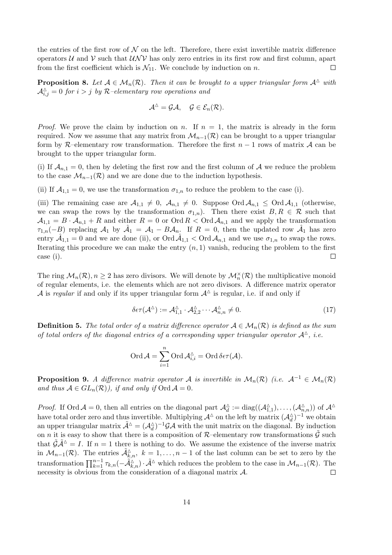the entries of the first row of  $\mathcal N$  on the left. Therefore, there exist invertible matrix difference operators U and V such that  $U\mathcal{N}V$  has only zero entries in its first row and first column, apart from the first coefficient which is  $\mathcal{N}_{11}$ . We conclude by induction on n.  $\Box$ 

**Proposition 8.** Let  $A \in M_n(\mathcal{R})$ . Then it can be brought to a upper triangular form  $A^{\Delta}$  with  $\mathcal{A}_{i,j}^{\triangle}=0$  for  $i>j$  by R-elementary row operations and

$$
\mathcal{A}^{\Delta}=\mathcal{G}\mathcal{A},\quad \mathcal{G}\in\mathcal{E}_n(\mathcal{R}).
$$

*Proof.* We prove the claim by induction on n. If  $n = 1$ , the matrix is already in the form required. Now we assume that any matrix from  $\mathcal{M}_{n-1}(\mathcal{R})$  can be brought to a upper triangular form by R–elementary row transformation. Therefore the first  $n-1$  rows of matrix A can be brought to the upper triangular form.

(i) If  $\mathcal{A}_{n,1} = 0$ , then by deleting the first row and the first column of  $\mathcal A$  we reduce the problem to the case  $\mathcal{M}_{n-1}(\mathcal{R})$  and we are done due to the induction hypothesis.

(ii) If  $\mathcal{A}_{1,1} = 0$ , we use the transformation  $\sigma_{1,n}$  to reduce the problem to the case (i).

(iii) The remaining case are  $A_{1,1} \neq 0$ ,  $A_{n,1} \neq 0$ . Suppose Ord  $A_{n,1} \leq$  Ord  $A_{1,1}$  (otherwise, we can swap the rows by the transformation  $\sigma_{1,n}$ ). Then there exist  $B, R \in \mathcal{R}$  such that  $\mathcal{A}_{1,1} = B \cdot \mathcal{A}_{n,1} + R$  and either  $R = 0$  or  $\text{Ord } R < \text{Ord }\mathcal{A}_{n,1}$  and we apply the transformation  $\tau_{1,n}(-B)$  replacing  $\mathcal{A}_1$  by  $\hat{\mathcal{A}}_1 = \mathcal{A}_1 - B\mathcal{A}_n$ . If  $R = 0$ , then the updated row  $\hat{\mathcal{A}}_1$  has zero entry  $\hat{A}_{1,1} = 0$  and we are done (ii), or  $\text{Ord}\,\hat{A}_{1,1} < \text{Ord}\,\hat{A}_{n,1}$  and we use  $\sigma_{1,n}$  to swap the rows. Iterating this procedure we can make the entry  $(n, 1)$  vanish, reducing the problem to the first case (i).  $\Box$ 

The ring  $\mathcal{M}_n(\mathcal{R}), n \geq 2$  has zero divisors. We will denote by  $\mathcal{M}_n^{\times}(\mathcal{R})$  the multiplicative monoid of regular elements, i.e. the elements which are not zero divisors. A difference matrix operator A is regular if and only if its upper triangular form  $A^{\Delta}$  is regular, i.e. if and only if

$$
\delta \epsilon \tau(\mathcal{A}^{\Delta}) := \mathcal{A}^{\Delta}_{1,1} \cdot \mathcal{A}^{\Delta}_{2,2} \cdots \mathcal{A}^{\Delta}_{n,n} \neq 0. \tag{17}
$$

**Definition 5.** The total order of a matrix difference operator  $A \in \mathcal{M}_n(\mathcal{R})$  is defined as the sum of total orders of the diagonal entries of a corresponding upper triangular operator  $\mathcal{A}^{\wedge}$ , i.e.

$$
\operatorname{Ord} {\mathcal{A}} = \sum_{i=1}^n \operatorname{Ord} {\mathcal{A}}_{i,i}^\vartriangle = \operatorname{Ord} \delta \epsilon \tau ({\mathcal{A}}).
$$

**Proposition 9.** A difference matrix operator A is invertible in  $\mathcal{M}_n(\mathcal{R})$  (i.e.  $\mathcal{A}^{-1} \in \mathcal{M}_n(\mathcal{R})$ ) and thus  $A \in GL_n(\mathcal{R})$ , if and only if  $\text{Ord } \mathcal{A} = 0$ .

*Proof.* If Ord  $A = 0$ , then all entries on the diagonal part  $\mathcal{A}_d^{\Delta} := \text{diag}((\mathcal{A}_{1,1}^{\Delta}), \dots, (\mathcal{A}_{n,n}^{\Delta})$  of  $\mathcal{A}^{\Delta}$ have total order zero and thus invertible. Multiplying  $\mathcal{A}^{\triangle}$  on the left by matrix  $(\mathcal{A}_d^{\triangle})^{-1}$  we obtain an upper triangular matrix  $\tilde{\mathcal{A}}^{\Delta} = (\mathcal{A}_d^{\Delta})^{-1} \mathcal{GA}$  with the unit matrix on the diagonal. By induction on *n* it is easy to show that there is a composition of R–elementary row transformations  $\tilde{G}$  such that  $\tilde{\mathcal{G}}\tilde{\mathcal{A}}^{\Delta}=I$ . If  $n=1$  there is nothing to do. We assume the existence of the inverse matrix in  $\mathcal{M}_{n-1}(\mathcal{R})$ . The entries  $\tilde{\mathcal{A}}_{k,n}^{\wedge}$ ,  $k=1,\ldots,n-1$  of the last column can be set to zero by the transformation  $\prod_{k=1}^{n-1} \tau_{k,n}(-\tilde{\mathcal{A}}_{k,n}^{\Delta}) \cdot \tilde{\mathcal{A}}^{\Delta}$  which reduces the problem to the case in  $\mathcal{M}_{n-1}(\mathcal{R})$ . The necessity is obvious from the consideration of a diagonal matrix A.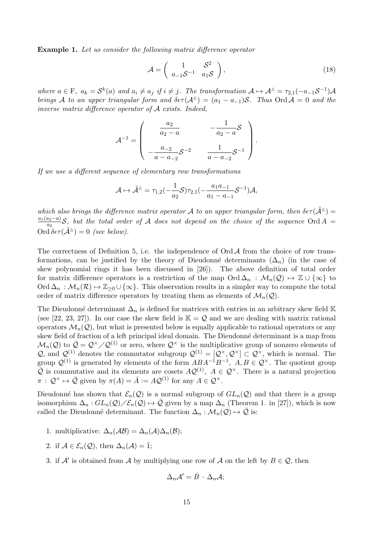Example 1. Let us consider the following matrix difference operator

$$
\mathcal{A} = \begin{pmatrix} 1 & \mathcal{S}^2 \\ a_{-1} \mathcal{S}^{-1} & a_1 \mathcal{S} \end{pmatrix},\tag{18}
$$

where  $a \in F$ ,  $a_k = S^k(a)$  and  $a_i \neq a_j$  if  $i \neq j$ . The transformation  $A \mapsto A^{\Delta} = \tau_{2,1}(-a_{-1}S^{-1})A$ brings A to an upper triangular form and  $\delta \epsilon \tau(A^{\Delta}) = (a_1 - a_{-1})S$ . Thus Ord  $A = 0$  and the inverse matrix difference operator of A exists. Indeed,

$$
\mathcal{A}^{-1} = \begin{pmatrix} a_2 & -\frac{1}{a_2 - a} \\ a_2 - a & \frac{1}{a_2 - a} \end{pmatrix}.
$$

$$
= \begin{pmatrix} -\frac{a_{-2}}{a_{-2}} & \frac{1}{a_{-2}} & -\frac{1}{a_{-2}} & -\frac{1}{a_{-2}} & -\frac{1}{a_{-2}} & -\frac{1}{a_{-2}} & -\frac{1}{a_{-2}} & -\frac{1}{a_{-2}} & -\frac{1}{a_{-2}} & -\frac{1}{a_{-2}} & -\frac{1}{a_{-2}} & -\frac{1}{a_{-2}} & -\frac{1}{a_{-2}} & -\frac{1}{a_{-2}} & -\frac{1}{a_{-2}} & -\frac{1}{a_{-2}} & -\frac{1}{a_{-2}} & -\frac{1}{a_{-2}} & -\frac{1}{a_{-2}} & -\frac{1}{a_{-2}} & -\frac{1}{a_{-2}} & -\frac{1}{a_{-2}} & -\frac{1}{a_{-2}} & -\frac{1}{a_{-2}} & -\frac{1}{a_{-2}} & -\frac{1}{a_{-2}} & -\frac{1}{a_{-2}} & -\frac{1}{a_{-2}} & -\frac{1}{a_{-2}} & -\frac{1}{a_{-2}} & -\frac{1}{a_{-2}} & -\frac{1}{a_{-2}} & -\frac{1}{a_{-2}} & -\frac{1}{a_{-2}} & -\frac{1}{a_{-2}} & -\frac{1}{a_{-2}} & -\frac{1}{a_{-2}} & -\frac{1}{a_{-2}} & -\frac{1}{a_{-2}} & -\frac{1}{a_{-2}} & -\frac{1}{a_{-2}} & -\frac{1}{a_{-2}} & -\frac{1}{a_{-2}} & -\frac{1}{a_{-2}} & -\frac{1}{a_{-2}} & -\frac{1}{a_{-2}} & -\frac{1}{a_{-2}} & -\frac{1}{a_{-2}} & -\frac{1}{a_{-2}} & -\frac{1}{a_{-2}} & -\frac{1}{a_{-2}} & -\frac{1}{a_{-2}} & -\frac{1}{a_{-2}} & -\frac{1}{a_{-2}} & -\frac{1}{a_{-2}} & -\frac{1}{a_{-2}} & -\frac{1}{a_{-2}} & -\
$$

If we use a different sequence of elementary row transformations

$$
\mathcal{A}\mapsto \tilde{\mathcal{A}}^\vartriangle=\tau_{1,2}(-\frac{1}{a_2}\mathcal{S})\tau_{2,1}(-\frac{a_1a_{-1}}{a_1-a_{-1}}\mathcal{S}^{-1})\mathcal{A},
$$

which also brings the difference matrix operator A to an upper triangular form, then  $\delta \epsilon \tau (\tilde{\mathcal{A}}^{\triangle}) =$  $a_1(a_2-a)$  $\frac{a_2-a_1}{a_2}$ S, but the total order of A does not depend on the choice of the sequence Ord A = Ord  $\delta \epsilon \tau(\tilde{\mathcal{A}}^{\Delta}) = 0$  (see below).

The correctness of Definition 5, i.e. the independence of Ord  $A$  from the choice of row transformations, can be justified by the theory of Dieudonné determinants  $(\Delta_n)$  (in the case of skew polynomial rings it has been discussed in [26]). The above definition of total order for matrix difference operators is a restriction of the map  $\mathrm{Ord}\Delta_n$ :  $\mathcal{M}_n(\mathcal{Q})\mapsto \mathbb{Z}\cup\{\infty\}$  to Ord  $\Delta_n : \mathcal{M}_n(\mathcal{R}) \to \mathbb{Z}_{\geq 0} \cup \{\infty\}.$  This observation results in a simpler way to compute the total order of matrix difference operators by treating them as elements of  $\mathcal{M}_n(\mathcal{Q})$ .

The Dieudonné determinant  $\Delta_n$  is defined for matrices with entries in an arbitrary skew field K (see [22, 23, 27]). In our case the skew field is  $\mathbb{K} = \mathcal{Q}$  and we are dealing with matrix rational operators  $\mathcal{M}_n(Q)$ , but what is presented below is equally applicable to rational operators or any skew field of fraction of a left principal ideal domain. The Dieudonné determinant is a map from  $\mathcal{M}_n(\mathcal{Q})$  to  $\bar{\mathcal{Q}} = \mathcal{Q}^\times/\mathcal{Q}^{(1)}$  or zero, where  $\mathcal{Q}^\times$  is the multiplicative group of nonzero elements of Q, and  $\mathcal{Q}^{(1)}$  denotes the commutator subgroup  $\mathcal{Q}^{(1)} = [\mathcal{Q}^\times, \mathcal{Q}^\times] \subset \mathcal{Q}^\times$ , which is normal. The group  $\mathcal{Q}^{(1)}$  is generated by elements of the form  $ABA^{-1}B^{-1}$ ,  $A, B \in \mathcal{Q}^{\times}$ . The quotient group  $\overline{Q}$  is commutative and its elements are cosets  $AQ^{(1)}$ ,  $A \in \mathcal{Q}^{\times}$ . There is a natural projection  $\pi : \mathcal{Q}^{\times} \mapsto \bar{\mathcal{Q}}$  given by  $\pi(A) = \bar{A} := A\mathcal{Q}^{(1)}$  for any  $A \in \mathcal{Q}^{\times}$ .

Dieudonné has shown that  $\mathcal{E}_n(\mathcal{Q})$  is a normal subgroup of  $GL_n(\mathcal{Q})$  and that there is a group isomorphism  $\Delta_n$ :  $GL_n(\mathcal{Q})\rightarrow \overline{\mathcal{Q}}$  given by a map  $\Delta_n$  (Theorem 1. in [27]), which is now called the Dieudonné determinant. The function  $\Delta_n : \mathcal{M}_n(\mathcal{Q}) \mapsto \overline{\mathcal{Q}}$  is:

- 1. multiplicative:  $\Delta_n(\mathcal{A}\mathcal{B}) = \Delta_n(\mathcal{A})\Delta_n(\mathcal{B});$
- 2. if  $\mathcal{A} \in \mathcal{E}_n(\mathcal{Q})$ , then  $\Delta_n(\mathcal{A}) = \overline{1}$ ;
- 3. if  $A'$  is obtained from A by multiplying one row of A on the left by  $B \in \mathcal{Q}$ , then

$$
\Delta_n \mathcal{A}' = \bar{B} \cdot \Delta_n \mathcal{A};
$$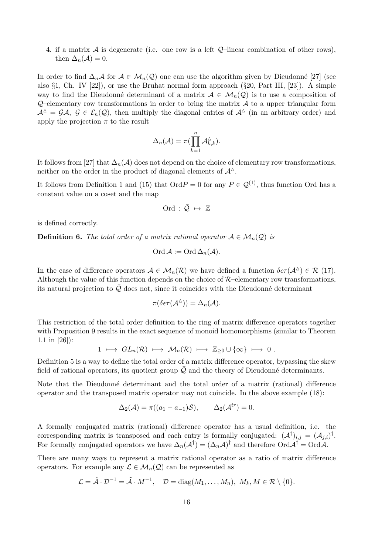4. if a matrix A is degenerate (i.e. one row is a left  $\mathcal{Q}$ -linear combination of other rows). then  $\Delta_n(\mathcal{A})=0$ .

In order to find  $\Delta_n\mathcal{A}$  for  $\mathcal{A} \in \mathcal{M}_n(\mathcal{Q})$  one can use the algorithm given by Dieudonné [27] (see also §1, Ch. IV [22]), or use the Bruhat normal form approach (§20, Part III, [23]). A simple way to find the Dieudonné determinant of a matrix  $A \in M_n(Q)$  is to use a composition of  $Q$ –elementary row transformations in order to bring the matrix  $\mathcal A$  to a upper triangular form  $A^{\Delta} = \mathcal{G}A, \mathcal{G} \in \mathcal{E}_n(\mathcal{Q})$ , then multiply the diagonal entries of  $\mathcal{A}^{\Delta}$  (in an arbitrary order) and apply the projection  $\pi$  to the result

$$
\Delta_n(\mathcal{A}) = \pi \left( \prod_{k=1}^n \mathcal{A}_{k,k}^{\wedge} \right).
$$

It follows from [27] that  $\Delta_n(\mathcal{A})$  does not depend on the choice of elementary row transformations, neither on the order in the product of diagonal elements of  $\mathcal{A}^{\Delta}$ .

It follows from Definition 1 and (15) that  $\text{Ord} P = 0$  for any  $P \in \mathcal{Q}^{(1)}$ , thus function Ord has a constant value on a coset and the map

$$
\text{Ord}\,:\,\bar{\mathcal{Q}}\ \mapsto\ \mathbb{Z}
$$

is defined correctly.

**Definition 6.** The total order of a matrix rational operator  $A \in M_n(\mathcal{Q})$  is

$$
\mathrm{Ord}\,\mathcal{A}:=\mathrm{Ord}\,\Delta_n(\mathcal{A}).
$$

In the case of difference operators  $A \in M_n(\mathcal{R})$  we have defined a function  $\delta \epsilon \tau(A^{\Delta}) \in \mathcal{R}$  (17). Although the value of this function depends on the choice of  $R$ –elementary row transformations, its natural projection to  $\overline{Q}$  does not, since it coincides with the Dieudonné determinant

$$
\pi(\delta \epsilon \tau(\mathcal{A}^{\Delta})) = \Delta_n(\mathcal{A}).
$$

This restriction of the total order definition to the ring of matrix difference operators together with Proposition 9 results in the exact sequence of monoid homomorphisms (similar to Theorem 1.1 in [26]):

$$
1 \ \longmapsto \ GL_n(\mathcal{R}) \ \longmapsto \ \mathcal{M}_n(\mathcal{R}) \ \longmapsto \ \mathbb{Z}_{\geq 0} \cup \{\infty\} \ \longmapsto \ 0 \ .
$$

Definition 5 is a way to define the total order of a matrix difference operator, bypassing the skew field of rational operators, its quotient group  $\overline{Q}$  and the theory of Dieudonné determinants.

Note that the Dieudonné determinant and the total order of a matrix (rational) difference operator and the transposed matrix operator may not coincide. In the above example (18):

$$
\Delta_2(\mathcal{A}) = \pi((a_1 - a_{-1})\mathcal{S}), \qquad \Delta_2(\mathcal{A}^{tr}) = 0.
$$

A formally conjugated matrix (rational) difference operator has a usual definition, i.e. the corresponding matrix is transposed and each entry is formally conjugated:  $(\mathcal{A}^{\dagger})_{i,j} = (\mathcal{A}_{j,i})^{\dagger}$ . For formally conjugated operators we have  $\Delta_n(\mathcal{A}^{\dagger}) = (\Delta_n \mathcal{A})^{\dagger}$  and therefore  $\text{Ord}\mathcal{A}^{\dagger} = \text{Ord}\mathcal{A}$ .

There are many ways to represent a matrix rational operator as a ratio of matrix difference operators. For example any  $\mathcal{L} \in \mathcal{M}_n(\mathcal{Q})$  can be represented as

$$
\mathcal{L} = \hat{\mathcal{A}} \cdot \mathcal{D}^{-1} = \tilde{\mathcal{A}} \cdot M^{-1}, \quad \mathcal{D} = \text{diag}(M_1, \dots, M_n), \ M_k, M \in \mathcal{R} \setminus \{0\}.
$$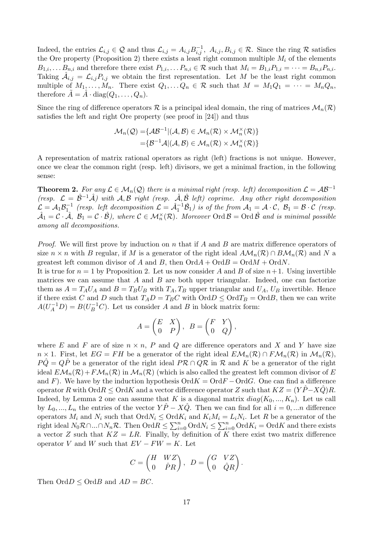Indeed, the entries  $\mathcal{L}_{i,j} \in \mathcal{Q}$  and thus  $\mathcal{L}_{i,j} = A_{i,j} B_{i,j}^{-1}, A_{i,j}, B_{i,j} \in \mathcal{R}$ . Since the ring  $\mathcal{R}$  satisfies the Ore property (Proposition 2) there exists a least right common multiple  $M_i$  of the elements  $B_{1,i}, \ldots B_{n,i}$  and therefore there exist  $P_{1,i}, \ldots P_{n,i} \in \mathcal{R}$  such that  $M_i = B_{1,i}P_{1,i} = \cdots = B_{n,i}P_{n,i}$ . Taking  $\hat{\mathcal{A}}_{i,j} = \mathcal{L}_{i,j} P_{i,j}$  we obtain the first representation. Let M be the least right common multiple of  $M_1, \ldots, M_n$ . There exist  $Q_1, \ldots, Q_n \in \mathcal{R}$  such that  $M = M_1 Q_1 = \cdots = M_n Q_n$ , therefore  $A = A \cdot diag(Q_1, \ldots, Q_n)$ .

Since the ring of difference operators R is a principal ideal domain, the ring of matrices  $\mathcal{M}_n(\mathcal{R})$ satisfies the left and right Ore property (see proof in [24]) and thus

$$
\mathcal{M}_n(\mathcal{Q}) = \{ \mathcal{AB}^{-1} | (\mathcal{A}, \mathcal{B}) \in \mathcal{M}_n(\mathcal{R}) \times \mathcal{M}_n^{\times}(\mathcal{R}) \} = \{ \mathcal{B}^{-1} \mathcal{A} | (\mathcal{A}, \mathcal{B}) \in \mathcal{M}_n(\mathcal{R}) \times \mathcal{M}_n^{\times}(\mathcal{R}) \}
$$

A representation of matrix rational operators as right (left) fractions is not unique. However, once we clear the common right (resp. left) divisors, we get a minimal fraction, in the following sense:

**Theorem 2.** For any  $\mathcal{L} \in \mathcal{M}_n(\mathcal{Q})$  there is a minimal right (resp. left) decomposition  $\mathcal{L} = \mathcal{A}\mathcal{B}^{-1}$ (resp.  $\mathcal{L} = \hat{\mathcal{B}}^{-1}\hat{\mathcal{A}}$ ) with  $\mathcal{A}, \mathcal{B}$  right (resp.  $\hat{\mathcal{A}}, \hat{\mathcal{B}}$  left) coprime. Any other right decomposition  $\mathcal{L} = \mathcal{A}_1 \mathcal{B}_1^{-1}$  (resp. left decomposition  $\mathcal{L} = \hat{\mathcal{A}}_1^{-1} \hat{\mathcal{B}}_1$ ) is of the from  $\mathcal{A}_1 = \mathcal{A} \cdot \mathcal{C}$ ,  $\mathcal{B}_1 = \mathcal{B} \cdot \mathcal{C}$  (resp.  $\hat{\mathcal{A}}_1=\mathcal{C}\cdot\hat{\mathcal{A}},\ \mathcal{B}_1=\mathcal{C}\cdot\hat{\mathcal{B}}),\ where\ \mathcal{C}\in\mathcal{M}_n^\times(\mathcal{R}).\ \ Moreover\ Ord\mathcal{B}=\ Ord\ \hat{\mathcal{B}}\ \ and\ is\ minimal\ possible$ among all decompositions.

*Proof.* We will first prove by induction on n that if A and B are matrix difference operators of size  $n \times n$  with B regular, if M is a generator of the right ideal  $A\mathcal{M}_n(\mathcal{R}) \cap B\mathcal{M}_n(\mathcal{R})$  and N a greatest left common divisor of A and B, then  $\mathrm{Ord}A + \mathrm{Ord}B = \mathrm{Ord}M + \mathrm{Ord}N$ .

It is true for  $n = 1$  by Proposition 2. Let us now consider A and B of size  $n+1$ . Using invertible matrices we can assume that  $A$  and  $B$  are both upper triangular. Indeed, one can factorize them as  $A = T_A U_A$  and  $B = T_B U_B$  with  $T_A, T_B$  upper triangular and  $U_A, U_B$  invertible. Hence if there exist C and D such that  $T_A D = T_B C$  with  $\text{Ord} D \leq \text{Ord} T_B = \text{Ord} B$ , then we can write  $A(U_A^{-1}D) = B(U_B^{-1}C)$ . Let us consider A and B in block matrix form:

$$
A = \begin{pmatrix} E & X \\ 0 & P \end{pmatrix}, B = \begin{pmatrix} F & Y \\ 0 & Q \end{pmatrix},
$$

where E and F are of size  $n \times n$ , P and Q are difference operators and X and Y have size  $n \times 1$ . First, let  $EG = FH$  be a generator of the right ideal  $EM_n(\mathcal{R}) \cap FM_n(\mathcal{R})$  in  $M_n(\mathcal{R})$ ,  $P\tilde{Q} = Q\tilde{P}$  be a generator of the right ideal  $P\mathcal{R} \cap Q\mathcal{R}$  in  $\mathcal{R}$  and  $K$  be a generator of the right ideal  $EM_n(\mathcal{R})+F\mathcal{M}_n(\mathcal{R})$  in  $\mathcal{M}_n(\mathcal{R})$  (which is also called the greatest left common divisor of E and F). We have by the induction hypothesis  $\mathrm{Ord} K = \mathrm{Ord} F - \mathrm{Ord} G$ . One can find a difference operator R with  $\text{Ord }K \leq \text{Ord }K$  and a vector difference operator Z such that  $KZ = (Y\ddot{P}-X\ddot{Q})R$ . Indeed, by Lemma 2 one can assume that K is a diagonal matrix  $diag(K_0, ..., K_n)$ . Let us call by  $L_0, ..., L_n$  the entries of the vector  $Y\hat{P} - X\hat{Q}$ . Then we can find for all  $i = 0, ...n$  difference operators  $M_i$  and  $N_i$  such that  $\text{Ord}N_i \leq \text{Ord}K_i$  and  $K_iM_i = L_iN_i$ . Let R be a generator of the right ideal  $N_0\mathcal{R}\cap...\cap N_n\mathcal{R}$ . Then  $\text{Ord}\mathcal{R}\leq\sum_{i=0}^n\text{Ord}N_i\leq\sum_{i=0}^n\text{Ord}K_i=\text{Ord}K$  and there exists a vector Z such that  $KZ = LR$ . Finally, by definition of K there exist two matrix difference operator V and W such that  $EV - FW = K$ . Let

$$
C = \begin{pmatrix} H & WZ \\ 0 & \hat{P}R \end{pmatrix}, \ D = \begin{pmatrix} G & VZ \\ 0 & \hat{Q}R \end{pmatrix}.
$$

Then  $\text{Ord} D < \text{Ord} B$  and  $AD = BC$ .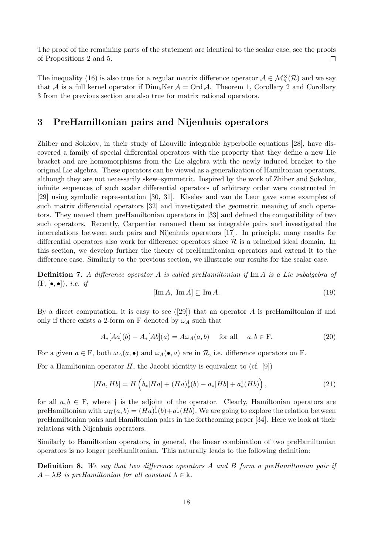The proof of the remaining parts of the statement are identical to the scalar case, see the proofs of Propositions 2 and 5.  $\Box$ 

The inequality (16) is also true for a regular matrix difference operator  $A \in \mathcal{M}_n^{\times}(\mathcal{R})$  and we say that A is a full kernel operator if  $\text{Dim}_k\text{Ker } A = \text{Ord } A$ . Theorem 1, Corollary 2 and Corollary 3 from the previous section are also true for matrix rational operators.

## 3 PreHamiltonian pairs and Nijenhuis operators

Zhiber and Sokolov, in their study of Liouville integrable hyperbolic equations [28], have discovered a family of special differential operators with the property that they define a new Lie bracket and are homomorphisms from the Lie algebra with the newly induced bracket to the original Lie algebra. These operators can be viewed as a generalization of Hamiltonian operators, although they are not necessarily skew–symmetric. Inspired by the work of Zhiber and Sokolov, infinite sequences of such scalar differential operators of arbitrary order were constructed in [29] using symbolic representation [30, 31]. Kiselev and van de Leur gave some examples of such matrix differential operators [32] and investigated the geometric meaning of such operators. They named them preHamiltonian operators in [33] and defined the compatibility of two such operators. Recently, Carpentier renamed them as integrable pairs and investigated the interrelations between such pairs and Nijenhuis operators [17]. In principle, many results for differential operators also work for difference operators since  $\mathcal R$  is a principal ideal domain. In this section, we develop further the theory of preHamiltonian operators and extend it to the difference case. Similarly to the previous section, we illustrate our results for the scalar case.

Definition 7. A difference operator A is called preHamiltonian if Im A is a Lie subalgebra of  $(F, [\bullet, \bullet]), \text{ i.e. if}$ 

$$
[\text{Im}\,A,\,\,\text{Im}\,A] \subseteq \text{Im}\,A.\tag{19}
$$

By a direct computation, it is easy to see  $([29])$  that an operator A is preHamiltonian if and only if there exists a 2-form on F denoted by  $\omega_A$  such that

$$
A_*[Aa](b) - A_*[Ab](a) = A\omega_A(a,b) \quad \text{for all} \quad a, b \in \mathcal{F}.
$$
 (20)

For a given  $a \in F$ , both  $\omega_A(a, \bullet)$  and  $\omega_A(\bullet, a)$  are in  $\mathcal{R}$ , i.e. difference operators on F.

For a Hamiltonian operator  $H$ , the Jacobi identity is equivalent to (cf. [9])

$$
[Ha, Hb] = H\left(b_*[Ha] + (Ha)_*^{\dagger}(b) - a_*[Hb] + a_*^{\dagger}(Hb)\right),\tag{21}
$$

for all  $a, b \in F$ , where  $\dagger$  is the adjoint of the operator. Clearly, Hamiltonian operators are preHamiltonian with  $\omega_H(a, b) = (Ha)_*^{\dagger}(b) + a_*^{\dagger}(Hb)$ . We are going to explore the relation between preHamiltonian pairs and Hamiltonian pairs in the forthcoming paper [34]. Here we look at their relations with Nijenhuis operators.

Similarly to Hamiltonian operators, in general, the linear combination of two preHamiltonian operators is no longer preHamiltonian. This naturally leads to the following definition:

Definition 8. We say that two difference operators A and B form a preHamiltonian pair if  $A + \lambda B$  is preHamiltonian for all constant  $\lambda \in \mathbf{k}$ .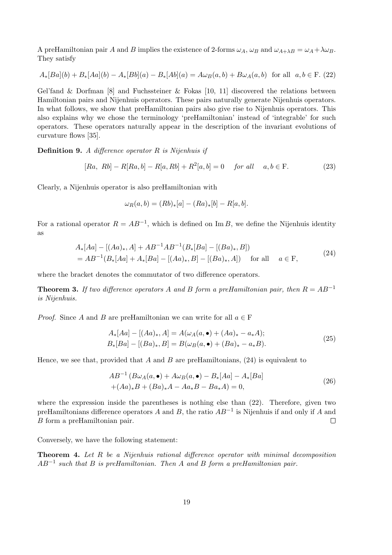A preHamiltonian pair A and B implies the existence of 2-forms  $\omega_A$ ,  $\omega_B$  and  $\omega_{A+\lambda B} = \omega_A + \lambda \omega_B$ . They satisfy

$$
A_*[Ba](b) + B_*[Aa](b) - A_*[Bb](a) - B_*[Ab](a) = A\omega_B(a, b) + B\omega_A(a, b) \text{ for all } a, b \in F. (22)
$$

Gel'fand & Dorfman  $[8]$  and Fuchssteiner & Fokas  $[10, 11]$  discovered the relations between Hamiltonian pairs and Nijenhuis operators. These pairs naturally generate Nijenhuis operators. In what follows, we show that preHamiltonian pairs also give rise to Nijenhuis operators. This also explains why we chose the terminology 'preHamiltonian' instead of 'integrable' for such operators. These operators naturally appear in the description of the invariant evolutions of curvature flows [35].

**Definition 9.** A difference operator  $R$  is Nijenhuis if

$$
[Ra, Rb] - R[Ra, b] - R[a, Rb] + R^{2}[a, b] = 0 \quad \text{for all} \quad a, b \in F. \tag{23}
$$

Clearly, a Nijenhuis operator is also preHamiltonian with

$$
\omega_R(a, b) = (Rb)_*[a] - (Ra)_*[b] - R[a, b].
$$

For a rational operator  $R = AB^{-1}$ , which is defined on Im B, we define the Nijenhuis identity as

$$
A_*[Aa] - [(Aa)_*, A] + AB^{-1}AB^{-1}(B_*[Ba] - [(Ba)_*, B])
$$
  
=  $AB^{-1}(B_*[Aa] + A_*[Ba] - [(Aa)_*, B] - [(Ba)_*, A])$  for all  $a \in F$ , (24)

where the bracket denotes the commutator of two difference operators.

**Theorem 3.** If two difference operators A and B form a preHamiltonian pair, then  $R = AB^{-1}$ is Nijenhuis.

*Proof.* Since A and B are preHamiltonian we can write for all  $a \in F$ 

$$
A_*[Aa] - [(Aa)_*, A] = A(\omega_A(a, \bullet) + (Aa)_* - a_*A);
$$
  
\n
$$
B_*[Ba] - [(Ba)_*, B] = B(\omega_B(a, \bullet) + (Ba)_* - a_*B).
$$
\n(25)

Hence, we see that, provided that A and B are preHamiltonians,  $(24)$  is equivalent to

$$
AB^{-1} (B\omega_A(a, \bullet) + A\omega_B(a, \bullet) - B_*[Aa] - A_*[Ba]
$$
  
+( $Aa$ )<sub>\*</sub> $B$  + ( $Ba$ )<sub>\*</sub> $A$  -  $Aa$ <sub>\*</sub> $B$  -  $Ba$ <sub>\*</sub> $A$ ) = 0, (26)

where the expression inside the parentheses is nothing else than (22). Therefore, given two preHamiltonians difference operators A and B, the ratio  $AB^{-1}$  is Nijenhuis if and only if A and B form a preHamiltonian pair.  $\Box$ 

Conversely, we have the following statement:

**Theorem 4.** Let  $R$  be a Nijenhuis rational difference operator with minimal decomposition  $AB^{-1}$  such that B is preHamiltonian. Then A and B form a preHamiltonian pair.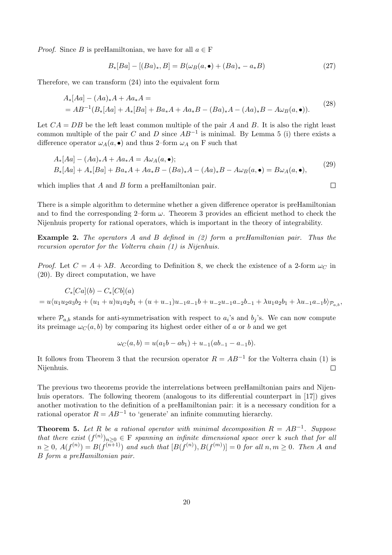*Proof.* Since B is preHamiltonian, we have for all  $a \in F$ 

$$
B_*[Ba] - [(Ba)_*, B] = B(\omega_B(a, \bullet) + (Ba)_* - a_*B) \tag{27}
$$

Therefore, we can transform (24) into the equivalent form

$$
A_*[Aa] - (Aa)_*A + Aa_*A =
$$
  
=  $AB^{-1}(B_*[Aa] + A_*[Ba] + Ba_*A + Aa_*B - (Ba)_*A - (Aa)_*B - A\omega_B(a, \bullet)).$  (28)

Let  $CA = DB$  be the left least common multiple of the pair A and B. It is also the right least common multiple of the pair C and D since  $AB^{-1}$  is minimal. By Lemma 5 (i) there exists a difference operator  $\omega_A(a, \bullet)$  and thus 2–form  $\omega_A$  on F such that

$$
A_*[Aa] - (Aa)_*A + Aa_*A = A\omega_A(a, \bullet);
$$
  
\n
$$
B_*[Aa] + A_*[Ba] + Ba_*A + Aa_*B - (Ba)_*A - (Aa)_*B - A\omega_B(a, \bullet) = B\omega_A(a, \bullet),
$$
\n(29)

which implies that  $A$  and  $B$  form a preHamiltonian pair.

There is a simple algorithm to determine whether a given difference operator is preHamiltonian and to find the corresponding 2–form  $\omega$ . Theorem 3 provides an efficient method to check the Nijenhuis property for rational operators, which is important in the theory of integrability.

Example 2. The operators A and B defined in (2) form a preHamiltonian pair. Thus the recursion operator for the Volterra chain (1) is Nijenhuis.

*Proof.* Let  $C = A + \lambda B$ . According to Definition 8, we check the existence of a 2-form  $\omega_C$  in (20). By direct computation, we have

$$
C_*[Ca](b) - C_*[Cb](a)
$$
  
=  $u\langle u_1u_2a_3b_2 + (u_1 + u)u_1a_2b_1 + (u + u_{-1})u_{-1}a_{-1}b + u_{-2}u_{-1}a_{-2}b_{-1} + \lambda u_1a_2b_1 + \lambda u_{-1}a_{-1}b \rangle_{\mathcal{P}_{a,b}},$ 

where  $\mathcal{P}_{a,b}$  stands for anti-symmetrisation with respect to  $a_i$ 's and  $b_j$ 's. We can now compute its preimage  $\omega_C(a, b)$  by comparing its highest order either of a or b and we get

$$
\omega_C(a,b) = u(a_1b - ab_1) + u_{-1}(ab_{-1} - a_{-1}b).
$$

It follows from Theorem 3 that the recursion operator  $R = AB^{-1}$  for the Volterra chain (1) is Nijenhuis.  $\Box$ 

The previous two theorems provide the interrelations between preHamiltonian pairs and Nijenhuis operators. The following theorem (analogous to its differential counterpart in [17]) gives another motivation to the definition of a preHamiltonian pair: it is a necessary condition for a rational operator  $R = AB^{-1}$  to 'generate' an infinite commuting hierarchy.

**Theorem 5.** Let R be a rational operator with minimal decomposition  $R = AB^{-1}$ . Suppose that there exist  $(f^{(n)})_{n\geq 0} \in F$  spanning an infinite dimensional space over k such that for all  $n \geq 0$ ,  $A(f^{(n)}) = B(f^{(n+1)})$  and such that  $[B(f^{(n)}), B(f^{(m)})] = 0$  for all  $n, m \geq 0$ . Then A and B form a preHamiltonian pair.

$$
\overline{\Box}
$$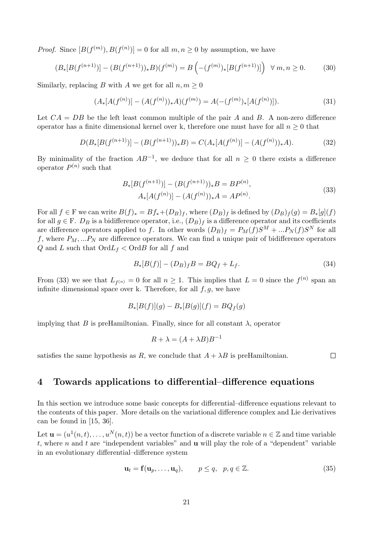*Proof.* Since  $[B(f^{(m)}), B(f^{(n)})] = 0$  for all  $m, n \geq 0$  by assumption, we have

$$
(B_*[B(f^{(n+1)})] - (B(f^{(n+1)}))_*B)(f^{(m)}) = B\left(-(f^{(m)})_*[B(f^{(n+1)})]\right) \ \forall \ m, n \ge 0. \tag{30}
$$

Similarly, replacing B with A we get for all  $n, m \geq 0$ 

$$
(A_*[A(f^{(n)})] - (A(f^{(n)}))_*A)(f^{(m)}) = A(-(f^{(m)})_*[A(f^{(n)})]).
$$
\n(31)

Let  $CA = DB$  be the left least common multiple of the pair A and B. A non-zero difference operator has a finite dimensional kernel over k, therefore one must have for all  $n \geq 0$  that

$$
D(B_*[B(f^{(n+1)})] - (B(f^{(n+1)}))_*B) = C(A_*[A(f^{(n)})] - (A(f^{(n)}))_*A). \tag{32}
$$

By minimality of the fraction  $AB^{-1}$ , we deduce that for all  $n \geq 0$  there exists a difference operator  $P^{(n)}$  such that

$$
B_*[B(f^{(n+1)})] - (B(f^{(n+1)}))_*B = BP^{(n)},
$$
  
\n
$$
A_*[A(f^{(n)})] - (A(f^{(n)}))_*A = AP^{(n)}.
$$
\n(33)

For all  $f \in F$  we can write  $B(f)_* = Bf_*(D_B)_f$ , where  $(D_B)_f$  is defined by  $(D_B)_f(g) = B_*(g)(f)$ for all  $g \in F$ .  $D_B$  is a bidifference operator, i.e.,  $(D_B)_f$  is a difference operator and its coefficients are difference operators applied to f. In other words  $(D_B)_f = P_M(f)S^M + ... P_N(f)S^N$  for all f, where  $P_M, \ldots P_N$  are difference operators. We can find a unique pair of bidifference operators Q and L such that  $\text{Ord}L_f$  <  $\text{Ord}B$  for all f and

$$
B_*[B(f)] - (D_B)_f B = BQ_f + L_f.
$$
\n(34)

From (33) we see that  $L_{f^{(n)}} = 0$  for all  $n \ge 1$ . This implies that  $L = 0$  since the  $f^{(n)}$  span and infinite dimensional space over k. Therefore, for all  $f, g$ , we have

$$
B_*[B(f)](g) - B_*[B(g)](f) = BQ_f(g)
$$

implying that B is preHamiltonian. Finally, since for all constant  $\lambda$ , operator

$$
R + \lambda = (A + \lambda B)B^{-1}
$$

satisfies the same hypothesis as R, we conclude that  $A + \lambda B$  is preHamiltonian.

 $\Box$ 

#### 4 Towards applications to differential–difference equations

In this section we introduce some basic concepts for differential–difference equations relevant to the contents of this paper. More details on the variational difference complex and Lie derivatives can be found in [15, 36].

Let  $\mathbf{u} = (u^1(n,t), \ldots, u^N(n,t))$  be a vector function of a discrete variable  $n \in \mathbb{Z}$  and time variable t, where n and t are "independent variables" and  $\bf{u}$  will play the role of a "dependent" variable in an evolutionary differential–difference system

$$
\mathbf{u}_t = \mathbf{f}(\mathbf{u}_p, \dots, \mathbf{u}_q), \qquad p \le q, \quad p, q \in \mathbb{Z}.
$$
 (35)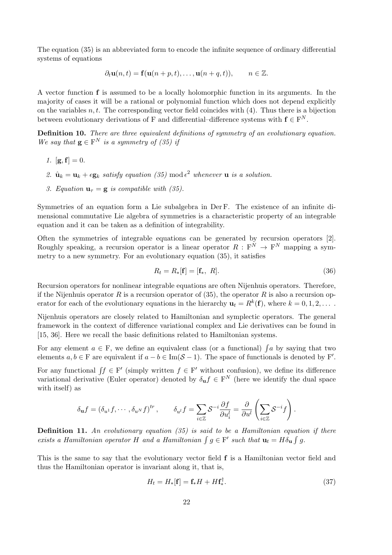The equation (35) is an abbreviated form to encode the infinite sequence of ordinary differential systems of equations

$$
\partial_t \mathbf{u}(n,t) = \mathbf{f}(\mathbf{u}(n+p,t),\ldots,\mathbf{u}(n+q,t)), \qquad n \in \mathbb{Z}.
$$

A vector function f is assumed to be a locally holomorphic function in its arguments. In the majority of cases it will be a rational or polynomial function which does not depend explicitly on the variables  $n, t$ . The corresponding vector field coincides with  $(4)$ . Thus there is a bijection between evolutionary derivations of F and differential–difference systems with  $f \in F^N$ .

Definition 10. There are three equivalent definitions of symmetry of an evolutionary equation. We say that  $\mathbf{g} \in \mathbf{F}^N$  is a symmetry of (35) if

- 1.  $[g, f] = 0$ .
- 2.  $\hat{\mathbf{u}}_k = \mathbf{u}_k + \epsilon \mathbf{g}_k$  satisfy equation (35) mod  $\epsilon^2$  whenever  $\mathbf{u}$  is a solution.
- 3. Equation  $\mathbf{u}_{\tau} = \mathbf{g}$  is compatible with (35).

Symmetries of an equation form a Lie subalgebra in Der F. The existence of an infinite dimensional commutative Lie algebra of symmetries is a characteristic property of an integrable equation and it can be taken as a definition of integrability.

Often the symmetries of integrable equations can be generated by recursion operators [2]. Roughly speaking, a recursion operator is a linear operator  $R: F^N \to F^N$  mapping a symmetry to a new symmetry. For an evolutionary equation (35), it satisfies

$$
R_t = R_*[\mathbf{f}] = [\mathbf{f}_*, R]. \tag{36}
$$

Recursion operators for nonlinear integrable equations are often Nijenhuis operators. Therefore, if the Nijenhuis operator R is a recursion operator of  $(35)$ , the operator R is also a recursion operator for each of the evolutionary equations in the hierarchy  $\mathbf{u}_t = R^k(\mathbf{f})$ , where  $k = 0, 1, 2, \dots$ .

Nijenhuis operators are closely related to Hamiltonian and symplectic operators. The general framework in the context of difference variational complex and Lie derivatives can be found in [15, 36]. Here we recall the basic definitions related to Hamiltonian systems.

For any element  $a \in F$ , we define an equivalent class (or a functional)  $\int a$  by saying that two elements  $a, b \in F$  are equivalent if  $a - b \in \text{Im}(\mathcal{S} - 1)$ . The space of functionals is denoted by F'.

For any functional  $\int f \in F'$  (simply written  $f \in F'$  without confusion), we define its difference variational derivative (Euler operator) denoted by  $\delta_{\mathbf{u}} f \in \mathbf{F}^{N}$  (here we identify the dual space with itself) as

$$
\delta_{\mathbf{u}}f = \left(\delta_{u^1}f, \cdots, \delta_{u^N}f\right)^{tr}, \qquad \delta_{u^l}f = \sum_{i \in \mathbb{Z}} \mathcal{S}^{-i} \frac{\partial f}{\partial u_i^l} = \frac{\partial}{\partial u^l} \left(\sum_{i \in \mathbb{Z}} \mathcal{S}^{-i}f\right).
$$

**Definition 11.** An evolutionary equation  $(35)$  is said to be a Hamiltonian equation if there exists a Hamiltonian operator H and a Hamiltonian  $\int g \in F'$  such that  $\mathbf{u}_t = H \delta_{\mathbf{u}} \int g$ .

This is the same to say that the evolutionary vector field  $f$  is a Hamiltonian vector field and thus the Hamiltonian operator is invariant along it, that is,

$$
H_t = H_*[\mathbf{f}] = \mathbf{f}_* H + H \mathbf{f}_*^{\dagger}.
$$
\n(37)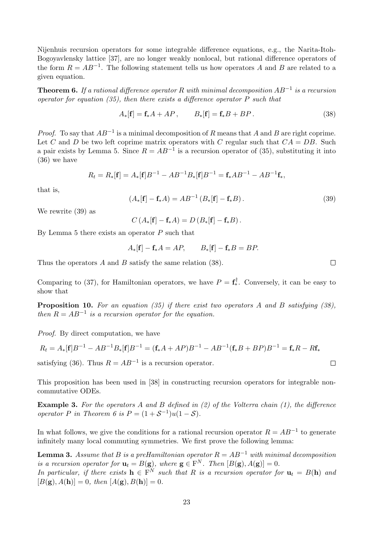Nijenhuis recursion operators for some integrable difference equations, e.g., the Narita-Itoh-Bogoyavlensky lattice [37], are no longer weakly nonlocal, but rational difference operators of the form  $R = AB^{-1}$ . The following statement tells us how operators A and B are related to a given equation.

**Theorem 6.** If a rational difference operator R with minimal decomposition  $AB^{-1}$  is a recursion operator for equation  $(35)$ , then there exists a difference operator P such that

$$
A_*[\mathbf{f}] = \mathbf{f}_*A + AP, \qquad B_*[\mathbf{f}] = \mathbf{f}_*B + BP. \tag{38}
$$

*Proof.* To say that  $AB^{-1}$  is a minimal decomposition of R means that A and B are right coprime. Let C and D be two left coprime matrix operators with C regular such that  $CA = DB$ . Such a pair exists by Lemma 5. Since  $R = AB^{-1}$  is a recursion operator of (35), substituting it into (36) we have

$$
R_t = R_*[\mathbf{f}] = A_*[\mathbf{f}]B^{-1} - AB^{-1}B_*[\mathbf{f}]B^{-1} = \mathbf{f}_*AB^{-1} - AB^{-1}\mathbf{f}_*,
$$

that is,

$$
(A_*[\mathbf{f}] - \mathbf{f}_*A) = AB^{-1} (B_*[\mathbf{f}] - \mathbf{f}_*B). \tag{39}
$$

We rewrite (39) as

 $C(A_*[f] - f_*A) = D(B_*[f] - f_*B).$ 

By Lemma 5 there exists an operator  $P$  such that

$$
A_*[\mathbf{f}] - \mathbf{f}_*A = AP, \qquad B_*[\mathbf{f}] - \mathbf{f}_*B = BP.
$$

Thus the operators A and B satisfy the same relation (38).

Comparing to (37), for Hamiltonian operators, we have  $P = \mathbf{f}_{*}^{\dagger}$ . Conversely, it can be easy to show that

**Proposition 10.** For an equation (35) if there exist two operators A and B satisfying (38), then  $R = AB^{-1}$  is a recursion operator for the equation.

Proof. By direct computation, we have

$$
R_t = A_*[\mathbf{f}]B^{-1} - AB^{-1}B_*[\mathbf{f}]B^{-1} = (\mathbf{f}_*A + AP)B^{-1} - AB^{-1}(\mathbf{f}_*B + BP)B^{-1} = \mathbf{f}_*R - R\mathbf{f}_*
$$
  
satisfying (36). Thus  $R = AB^{-1}$  is a recursion operator.

This proposition has been used in [38] in constructing recursion operators for integrable noncommutative ODEs.

**Example 3.** For the operators A and B defined in  $(2)$  of the Volterra chain  $(1)$ , the difference operator P in Theorem 6 is  $P = (1 + S^{-1})u(1 - S)$ .

In what follows, we give the conditions for a rational recursion operator  $R = AB^{-1}$  to generate infinitely many local commuting symmetries. We first prove the following lemma:

**Lemma 3.** Assume that B is a preHamiltonian operator  $R = AB^{-1}$  with minimal decomposition is a recursion operator for  $\mathbf{u}_t = B(\mathbf{g})$ , where  $\mathbf{g} \in \mathbf{F}^N$ . Then  $[B(\mathbf{g}), A(\mathbf{g})] = 0$ .

In particular, if there exists  $\mathbf{h} \in \mathbb{F}^N$  such that R is a recursion operator for  $\mathbf{u}_t = B(\mathbf{h})$  and  $[B(g), A(h)] = 0$ , then  $[A(g), B(h)] = 0$ .

 $\Box$ 

 $\Box$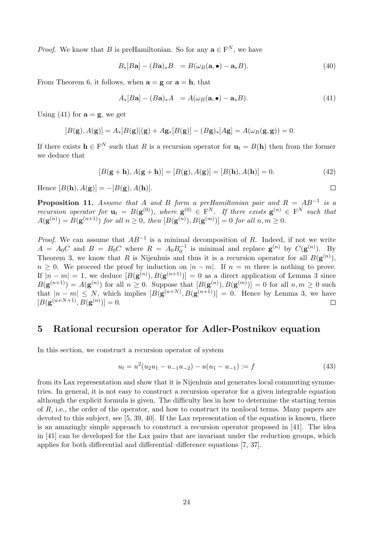*Proof.* We know that B is preHamiltonian. So for any  $\mathbf{a} \in \mathbb{F}^{N}$ , we have

$$
B_*[B\mathbf{a}] - (B\mathbf{a})_*B = B(\omega_B(\mathbf{a}, \bullet) - \mathbf{a}_*B). \tag{40}
$$

From Theorem 6, it follows, when  $\mathbf{a} = \mathbf{g}$  or  $\mathbf{a} = \mathbf{h}$ , that

$$
A_*[B\mathbf{a}] - (B\mathbf{a})_*A = A(\omega_B(\mathbf{a}, \bullet) - \mathbf{a}_*B). \tag{41}
$$

Using (41) for  $\mathbf{a} = \mathbf{g}$ , we get

$$
[B(\mathbf{g}), A(\mathbf{g})] = A_*[B(\mathbf{g})](\mathbf{g}) + A\mathbf{g}_*[B(\mathbf{g})] - (B\mathbf{g})_*[A\mathbf{g}] = A(\omega_B(\mathbf{g}, \mathbf{g})) = 0.
$$

If there exists  $\mathbf{h} \in \mathbb{F}^N$  such that R is a recursion operator for  $\mathbf{u}_t = B(\mathbf{h})$  then from the former we deduce that

$$
[B(g + h), A(g + h)] = [B(g), A(g)] = [B(h), A(h)] = 0.
$$
 (42)

 $\Box$ 

Hence  $[B(\mathbf{h}), A(\mathbf{g})] = -[B(\mathbf{g}), A(\mathbf{h})].$ 

**Proposition 11.** Assume that A and B form a preHamiltonian pair and  $R = AB^{-1}$  is a recursion operator for  $\mathbf{u}_t = B(\mathbf{g}^{(0)}),$  where  $\mathbf{g}^{(0)} \in \mathbb{F}^N$ . If there exists  $\mathbf{g}^{(n)} \in \mathbb{F}^N$  such that  $A(\mathbf{g}^{(n)}) = B(\mathbf{g}^{(n+1)})$  for all  $n \geq 0$ , then  $[B(\mathbf{g}^{(n)}), B(\mathbf{g}^{(m)})] = 0$  for all  $n, m \geq 0$ .

*Proof.* We can assume that  $AB^{-1}$  is a minimal decomposition of R. Indeed, if not we write  $A = A_0C$  and  $B = B_0C$  where  $R = A_0B_0^{-1}$  is minimal and replace  $\mathbf{g}^{(n)}$  by  $C(\mathbf{g}^{(n)})$ . By Theorem 3, we know that R is Nijenhuis and thus it is a recursion operator for all  $B(\mathbf{g}^{(n)})$ ,  $n \geq 0$ . We proceed the proof by induction on  $|n-m|$ . If  $n = m$  there is nothing to prove. If  $|n-m|=1$ , we deduce  $[B(\mathbf{g}^{(n)}), B(\mathbf{g}^{(n+1)})]=0$  as a direct application of Lemma 3 since  $B(\mathbf{g}^{(n+1)}) = A(\mathbf{g}^{(n)})$  for all  $n \geq 0$ . Suppose that  $[B(\mathbf{g}^{(n)}), B(\mathbf{g}^{(m)})] = 0$  for all  $n, m \geq 0$  such that  $|n - m| \leq N$ , which implies  $|B(g^{(n+N)}, B(g^{(n+1)})| = 0$ . Hence by Lemma 3, we have  $[B(\mathbf{g}^{(n+N+1)}, B(\mathbf{g}^{(n)})] = 0.$  $\Box$ 

# 5 Rational recursion operator for Adler-Postnikov equation

In this section, we construct a recursion operator of system

$$
u_t = u^2(u_2u_1 - u_{-1}u_{-2}) - u(u_1 - u_{-1}) := f \tag{43}
$$

from its Lax representation and show that it is Nijenhuis and generates local commuting symmetries. In general, it is not easy to construct a recursion operator for a given integrable equation although the explicit formula is given. The difficulty lies in how to determine the starting terms of R, i.e., the order of the operator, and how to construct its nonlocal terms. Many papers are devoted to this subject, see [5, 39, 40]. If the Lax representation of the equation is known, there is an amazingly simple approach to construct a recursion operator proposed in [41]. The idea in [41] can be developed for the Lax pairs that are invariant under the reduction groups, which applies for both differential and differential–difference equations [7, 37].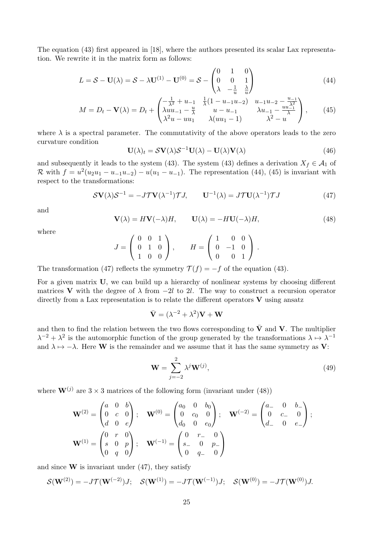The equation (43) first appeared in [18], where the authors presented its scalar Lax representation. We rewrite it in the matrix form as follows:

$$
L = S - \mathbf{U}(\lambda) = S - \lambda \mathbf{U}^{(1)} - \mathbf{U}^{(0)} = S - \begin{pmatrix} 0 & 1 & 0 \\ 0 & 0 & 1 \\ \lambda & -\frac{1}{u} & \frac{\lambda}{u} \end{pmatrix}
$$
(44)

$$
M = D_t - \mathbf{V}(\lambda) = D_t + \begin{pmatrix} -\frac{1}{\lambda^2} + u_{-1} & \frac{1}{\lambda}(1 - u_{-1}u_{-2}) & u_{-1}u_{-2} - \frac{u_{-1}}{\lambda^2} \\ \lambda u u_{-1} - \frac{u}{\lambda} & u - u_{-1} & \lambda u_{-1} - \frac{u u_{-1}}{\lambda} \\ \lambda^2 u - u u_1 & \lambda (u u_1 - 1) & \lambda^2 - u \end{pmatrix},
$$
(45)

where  $\lambda$  is a spectral parameter. The commutativity of the above operators leads to the zero curvature condition

$$
\mathbf{U}(\lambda)_t = \mathcal{S}\mathbf{V}(\lambda)\mathcal{S}^{-1}\mathbf{U}(\lambda) - \mathbf{U}(\lambda)\mathbf{V}(\lambda)
$$
 (46)

and subsequently it leads to the system (43). The system (43) defines a derivation  $X_f \in \mathcal{A}_1$  of R with  $f = u^2(u_2u_1 - u_{-1}u_{-2}) - u(u_1 - u_{-1})$ . The representation (44), (45) is invariant with respect to the transformations:

$$
S\mathbf{V}(\lambda)S^{-1} = -J\mathcal{T}\mathbf{V}(\lambda^{-1})\mathcal{T}J, \qquad \mathbf{U}^{-1}(\lambda) = J\mathcal{T}\mathbf{U}(\lambda^{-1})\mathcal{T}J \tag{47}
$$

and

$$
\mathbf{V}(\lambda) = H\mathbf{V}(-\lambda)H, \qquad \mathbf{U}(\lambda) = -H\mathbf{U}(-\lambda)H,\tag{48}
$$

where

$$
J = \begin{pmatrix} 0 & 0 & 1 \\ 0 & 1 & 0 \\ 1 & 0 & 0 \end{pmatrix}, \qquad H = \begin{pmatrix} 1 & 0 & 0 \\ 0 & -1 & 0 \\ 0 & 0 & 1 \end{pmatrix}.
$$

The transformation (47) reflects the symmetry  $\mathcal{T}(f) = -f$  of the equation (43).

For a given matrix U, we can build up a hierarchy of nonlinear systems by choosing different matrices V with the degree of  $\lambda$  from  $-2l$  to 2l. The way to construct a recursion operator directly from a Lax representation is to relate the different operators  $V$  using ansatz

$$
\bar{\mathbf{V}} = (\lambda^{-2} + \lambda^2)\mathbf{V} + \mathbf{W}
$$

and then to find the relation between the two flows corresponding to  $\bar{V}$  and V. The multiplier  $\lambda^{-2} + \lambda^2$  is the automorphic function of the group generated by the transformations  $\lambda \mapsto \lambda^{-1}$ and  $\lambda \mapsto -\lambda$ . Here W is the remainder and we assume that it has the same symmetry as V:

$$
\mathbf{W} = \sum_{j=-2}^{2} \lambda^j \mathbf{W}^{(j)},\tag{49}
$$

where  $\mathbf{W}^{(j)}$  are  $3 \times 3$  matrices of the following form (invariant under (48))

$$
\mathbf{W}^{(2)} = \begin{pmatrix} a & 0 & b \\ 0 & c & 0 \\ d & 0 & e \end{pmatrix}; \quad \mathbf{W}^{(0)} = \begin{pmatrix} a_0 & 0 & b_0 \\ 0 & c_0 & 0 \\ d_0 & 0 & e_0 \end{pmatrix}; \quad \mathbf{W}^{(-2)} = \begin{pmatrix} a_0 & 0 & b_0 \\ 0 & c_0 & 0 \\ d_0 & 0 & e_0 \end{pmatrix};
$$

$$
\mathbf{W}^{(1)} = \begin{pmatrix} 0 & r & 0 \\ s & 0 & p \\ 0 & q & 0 \end{pmatrix}; \quad \mathbf{W}^{(-1)} = \begin{pmatrix} 0 & r_0 & 0 \\ s_0 & 0 & p_0 \\ 0 & q_0 & 0 \end{pmatrix}
$$

and since  $W$  is invariant under (47), they satisfy

$$
\mathcal{S}(\mathbf{W}^{(2)}) = -J\mathcal{T}(\mathbf{W}^{(-2)})J; \quad \mathcal{S}(\mathbf{W}^{(1)}) = -J\mathcal{T}(\mathbf{W}^{(-1)})J; \quad \mathcal{S}(\mathbf{W}^{(0)}) = -J\mathcal{T}(\mathbf{W}^{(0)})J.
$$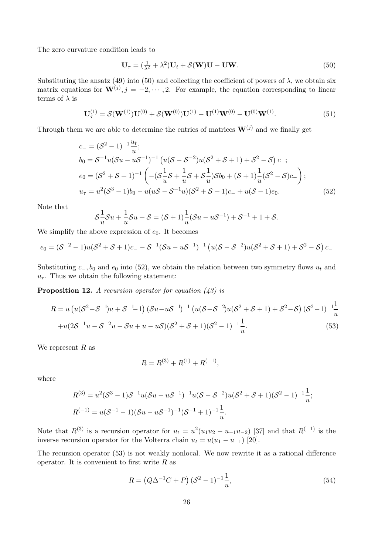The zero curvature condition leads to

$$
\mathbf{U}_{\tau} = (\frac{1}{\lambda^2} + \lambda^2)\mathbf{U}_t + \mathcal{S}(\mathbf{W})\mathbf{U} - \mathbf{U}\mathbf{W}.
$$
 (50)

Substituting the ansatz (49) into (50) and collecting the coefficient of powers of  $\lambda$ , we obtain six matrix equations for  $\mathbf{W}^{(j)}$ ,  $j = -2, \dots, 2$ . For example, the equation corresponding to linear terms of  $\lambda$  is

$$
\mathbf{U}_{\tau}^{(1)} = \mathcal{S}(\mathbf{W}^{(1)})\mathbf{U}^{(0)} + \mathcal{S}(\mathbf{W}^{(0)})\mathbf{U}^{(1)} - \mathbf{U}^{(1)}\mathbf{W}^{(0)} - \mathbf{U}^{(0)}\mathbf{W}^{(1)}.
$$
(51)

Through them we are able to determine the entries of matrices  $\mathbf{W}^{(j)}$  and we finally get

$$
c_{-} = (S^{2} - 1)^{-1} \frac{u_{t}}{u};
$$
  
\n
$$
b_{0} = S^{-1} u (Su - uS^{-1})^{-1} (u(S - S^{-2}) u (S^{2} + S + 1) + S^{2} - S) c_{-};
$$
  
\n
$$
e_{0} = (S^{2} + S + 1)^{-1} \left( -(S \frac{1}{u} S + \frac{1}{u} S + S \frac{1}{u}) S b_{0} + (S + 1) \frac{1}{u} (S^{2} - S) c_{-} \right);
$$
  
\n
$$
u_{\tau} = u^{2} (S^{3} - 1) b_{0} - u (uS - S^{-1} u) (S^{2} + S + 1) c_{-} + u (S - 1) e_{0}.
$$
\n(52)

Note that

$$
S\frac{1}{u}S u + \frac{1}{u}S u + S = (S+1)\frac{1}{u}(Su - uS^{-1}) + S^{-1} + 1 + S.
$$

We simplify the above expression of  $e_0$ . It becomes

$$
e_0 = (\mathcal{S}^{-2} - 1)u(\mathcal{S}^2 + \mathcal{S} + 1)c_- - \mathcal{S}^{-1}(\mathcal{S}u - u\mathcal{S}^{-1})^{-1} (u(\mathcal{S} - \mathcal{S}^{-2})u(\mathcal{S}^2 + \mathcal{S} + 1) + \mathcal{S}^2 - \mathcal{S}) c_-
$$

Substituting  $c_-, b_0$  and  $e_0$  into (52), we obtain the relation between two symmetry flows  $u_t$  and  $u_{\tau}$ . Thus we obtain the following statement:

**Proposition 12.** A recursion operator for equation  $(43)$  is

$$
R = u \left( u(S^2 - S^{-1})u + S^{-1} - 1 \right) (Su - uS^{-1})^{-1} \left( u(S - S^{-2})u(S^2 + S + 1) + S^2 - S \right) (S^2 - 1)^{-1} \frac{1}{u}
$$
  
+u(2S<sup>-1</sup>u - S<sup>-2</sup>u - Su + u - uS)(S<sup>2</sup> + S + 1)(S<sup>2</sup> - 1)<sup>-1</sup>  $\frac{1}{u}$ . (53)

We represent  $R$  as

$$
R = R^{(3)} + R^{(1)} + R^{(-1)},
$$

where

$$
R^{(3)} = u^2(\mathcal{S}^3 - 1)\mathcal{S}^{-1}u(\mathcal{S}u - u\mathcal{S}^{-1})^{-1}u(\mathcal{S} - \mathcal{S}^{-2})u(\mathcal{S}^2 + \mathcal{S} + 1)(\mathcal{S}^2 - 1)^{-1}\frac{1}{u};
$$
  
\n
$$
R^{(-1)} = u(\mathcal{S}^{-1} - 1)(\mathcal{S}u - u\mathcal{S}^{-1})^{-1}(\mathcal{S}^{-1} + 1)^{-1}\frac{1}{u}.
$$

Note that  $R^{(3)}$  is a recursion operator for  $u_t = u^2(u_1u_2 - u_{-1}u_{-2})$  [37] and that  $R^{(-1)}$  is the inverse recursion operator for the Volterra chain  $u_t = u(u_1 - u_{-1})$  [20].

The recursion operator (53) is not weakly nonlocal. We now rewrite it as a rational difference operator. It is convenient to first write  $R$  as

$$
R = (Q\Delta^{-1}C + P)(S^2 - 1)^{-1}\frac{1}{u},
$$
\n(54)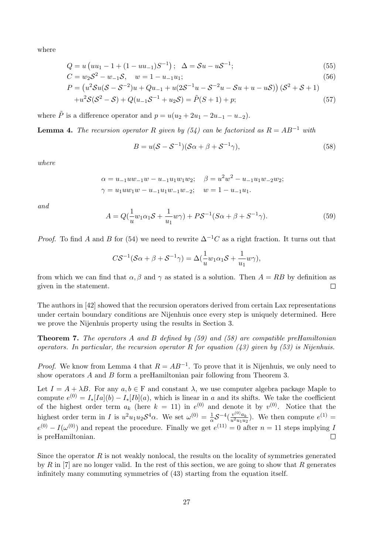where

$$
Q = u \left( uu_1 - 1 + (1 - uu_{-1})S^{-1} \right); \quad \Delta = \mathcal{S}u - u\mathcal{S}^{-1};\tag{55}
$$

$$
C = w_2 \mathcal{S}^2 - w_{-1} \mathcal{S}, \quad w = 1 - u_{-1} u_1; \tag{56}
$$

$$
P = (u^2 \mathcal{S}u(\mathcal{S} - \mathcal{S}^{-2})u + Qu_{-1} + u(2\mathcal{S}^{-1}u - \mathcal{S}^{-2}u - \mathcal{S}u + u - u\mathcal{S})) (\mathcal{S}^2 + \mathcal{S} + 1)
$$
  
+ $u^2 \mathcal{S}(\mathcal{S}^2 - \mathcal{S}) + Q(u_{-1}\mathcal{S}^{-1} + u_2\mathcal{S}) = \tilde{P}(\mathcal{S} + 1) + p;$  (57)

where  $\tilde{P}$  is a difference operator and  $p = u(u_2 + 2u_1 - 2u_{-1} - u_{-2}).$ 

**Lemma 4.** The recursion operator R given by (54) can be factorized as  $R = AB^{-1}$  with

$$
B = u(\mathcal{S} - \mathcal{S}^{-1})(\mathcal{S}\alpha + \beta + \mathcal{S}^{-1}\gamma),
$$
\n(58)

where

$$
\alpha = u_{-1}uw_{-1}w - u_{-1}u_1w_1w_2; \quad \beta = u^2w^2 - u_{-1}u_1w_{-2}w_2; \n\gamma = u_1uw_1w - u_{-1}u_1w_{-1}w_{-2}; \quad w = 1 - u_{-1}u_1.
$$

and

$$
A = Q(\frac{1}{u}w_1\alpha_1S + \frac{1}{u_1}w\gamma) + PS^{-1}(S\alpha + \beta + S^{-1}\gamma).
$$
 (59)

*Proof.* To find A and B for (54) we need to rewrite  $\Delta^{-1}C$  as a right fraction. It turns out that

$$
C\mathcal{S}^{-1}(\mathcal{S}\alpha + \beta + \mathcal{S}^{-1}\gamma) = \Delta(\frac{1}{u}w_1\alpha_1\mathcal{S} + \frac{1}{u_1}w\gamma),
$$

from which we can find that  $\alpha, \beta$  and  $\gamma$  as stated is a solution. Then  $A = RB$  by definition as given in the statement.  $\Box$ 

The authors in [42] showed that the recursion operators derived from certain Lax representations under certain boundary conditions are Nijenhuis once every step is uniquely determined. Here we prove the Nijenhuis property using the results in Section 3.

**Theorem 7.** The operators A and B defined by (59) and (58) are compatible preHamiltonian operators. In particular, the recursion operator R for equation  $(43)$  given by  $(53)$  is Nijenhuis.

*Proof.* We know from Lemma 4 that  $R = AB^{-1}$ . To prove that it is Nijenhuis, we only need to show operators A and B form a preHamiltonian pair following from Theorem 3.

Let  $I = A + \lambda B$ . For any  $a, b \in F$  and constant  $\lambda$ , we use computer algebra package Maple to compute  $e^{(0)} = I_*[Ia](b) - I_*[Ib](a)$ , which is linear in a and its shifts. We take the coefficient of the highest order term  $a_k$  (here  $k = 11$ ) in  $e^{(0)}$  and denote it by  $v^{(0)}$ . Notice that the  $\frac{1}{\alpha}\mathcal{S}^{-4}(\frac{v^{(0)}a_{k}}{u^{2}u_{1}u_{2}})$ highest order term in I is  $u^2u_1u_2\mathcal{S}^4\alpha$ . We set  $\omega^{(0)}=\frac{1}{\alpha}$  $\frac{v^{(0)}a_k}{u^2u_1u_2}$ . We then compute  $e^{(1)} =$  $e^{(0)} - I(\omega^{(0)})$  and repeat the procedure. Finally we get  $e^{(11)} = 0$  after  $n = 11$  steps implying I is preHamiltonian.  $\Box$ 

Since the operator  $R$  is not weakly nonlocal, the results on the locality of symmetries generated by R in  $[7]$  are no longer valid. In the rest of this section, we are going to show that R generates infinitely many commuting symmetries of (43) starting from the equation itself.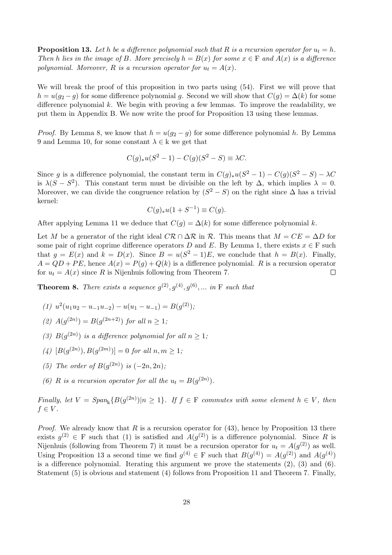**Proposition 13.** Let h be a difference polynomial such that R is a recursion operator for  $u_t = h$ . Then h lies in the image of B. More precisely  $h = B(x)$  for some  $x \in F$  and  $A(x)$  is a difference polynomial. Moreover, R is a recursion operator for  $u_t = A(x)$ .

We will break the proof of this proposition in two parts using  $(54)$ . First we will prove that  $h = u(g_2 - g)$  for some difference polynomial g. Second we will show that  $C(g) = \Delta(k)$  for some difference polynomial  $k$ . We begin with proving a few lemmas. To improve the readability, we put them in Appendix B. We now write the proof for Proposition 13 using these lemmas.

*Proof.* By Lemma 8, we know that  $h = u(g_2 - g)$  for some difference polynomial h. By Lemma 9 and Lemma 10, for some constant  $\lambda \in \mathbf{k}$  we get that

$$
C(g)_*u(S^2-1) - C(g)(S^2 - S) \equiv \lambda C.
$$

Since g is a difference polynomial, the constant term in  $C(g)_*u(S^2-1) - C(g)(S^2-S) - \lambda C$ is  $\lambda(S - S^2)$ . This constant term must be divisible on the left by  $\Delta$ , which implies  $\lambda = 0$ . Moreover, we can divide the congruence relation by  $(S^2 - S)$  on the right since  $\Delta$  has a trivial kernel:

$$
C(g)_*u(1+S^{-1}) \equiv C(g).
$$

After applying Lemma 11 we deduce that  $C(q) = \Delta(k)$  for some difference polynomial k.

Let M be a generator of the right ideal  $\mathbb{CR} \cap \Delta \mathcal{R}$  in R. This means that  $M = CE = \Delta D$  for some pair of right coprime difference operators D and E. By Lemma 1, there exists  $x \in F$  such that  $g = E(x)$  and  $k = D(x)$ . Since  $B = u(S^2 - 1)E$ , we conclude that  $h = B(x)$ . Finally,  $A = QD + PE$ , hence  $A(x) = P(g) + Q(k)$  is a difference polynomial. R is a recursion operator for  $u_t = A(x)$  since R is Nijenhuis following from Theorem 7.  $\Box$ 

**Theorem 8.** There exists a sequence  $g^{(2)}$ ,  $g^{(4)}$ ,  $g^{(6)}$ , ... in F such that

- (1)  $u^2(u_1u_2 u_{-1}u_{-2}) u(u_1 u_{-1}) = B(g^{(2)});$
- (2)  $A(g^{(2n)}) = B(g^{(2n+2)})$  for all  $n \geq 1$ ;
- (3)  $B(g^{(2n)})$  is a difference polynomial for all  $n \geq 1$ ;
- (4)  $[B(g^{(2n)}), B(g^{(2m)})] = 0$  for all  $n, m \ge 1$ ;
- (5) The order of  $B(g^{(2n)})$  is  $(-2n, 2n)$ ;
- (6) R is a recursion operator for all the  $u_t = B(g^{(2n)})$ .

Finally, let  $V = Span_k\{B(g^{(2n)})|n \geq 1\}$ . If  $f \in F$  commutes with some element  $h \in V$ , then  $f \in V$ .

*Proof.* We already know that R is a recursion operator for  $(43)$ , hence by Proposition 13 there exists  $g^{(2)} \in F$  such that (1) is satisfied and  $A(g^{(2)})$  is a difference polynomial. Since R is Nijenhuis (following from Theorem 7) it must be a recursion operator for  $u_t = A(g^{(2)})$  as well. Using Proposition 13 a second time we find  $g^{(4)} \in F$  such that  $B(g^{(4)}) = A(g^{(2)})$  and  $A(g^{(4)})$ is a difference polynomial. Iterating this argument we prove the statements  $(2)$ ,  $(3)$  and  $(6)$ . Statement (5) is obvious and statement (4) follows from Proposition 11 and Theorem 7. Finally,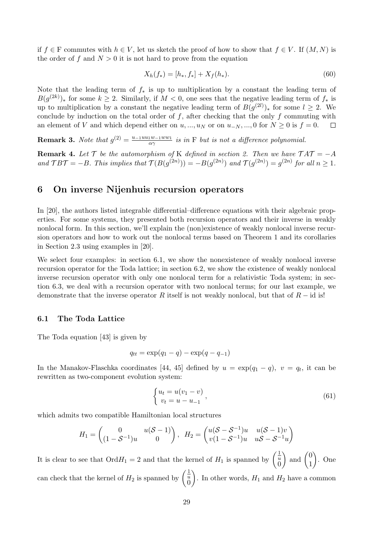if  $f \in F$  commutes with  $h \in V$ , let us sketch the proof of how to show that  $f \in V$ . If  $(M, N)$  is the order of f and  $N > 0$  it is not hard to prove from the equation

$$
X_h(f_*) = [h_*, f_*] + X_f(h_*). \tag{60}
$$

Note that the leading term of  $f_*$  is up to multiplication by a constant the leading term of  $B(g^{(2k)})_*$  for some  $k \geq 2$ . Similarly, if  $M < 0$ , one sees that the negative leading term of  $f_*$  is up to multiplication by a constant the negative leading term of  $B(g^{(2l)})_*$  for some  $l \geq 2$ . We conclude by induction on the total order of  $f$ , after checking that the only  $f$  commuting with an element of V and which depend either on  $u, ..., u_N$  or on  $u_{-N}, ..., 0$  for  $N \ge 0$  is  $f = 0$ .  $\Box$ 

**Remark 3.** Note that  $g^{(2)} = \frac{u_{-1}uu_{1}w_{-1}ww_{1}}{\alpha\alpha}$  $\frac{1}{10a} \frac{w-1}{w}$  is in F but is not a difference polynomial.

**Remark 4.** Let  $\mathcal{T}$  be the automorphism of K defined in section 2. Then we have  $\mathcal{T}AT = -A$ and  $TBT = -B$ . This implies that  $\mathcal{T}(B(g^{(2n)})) = -B(g^{(2n)})$  and  $\mathcal{T}(g^{(2n)}) = g^{(2n)}$  for all  $n \geq 1$ .

## 6 On inverse Nijenhuis recursion operators

In [20], the authors listed integrable differential–difference equations with their algebraic properties. For some systems, they presented both recursion operators and their inverse in weakly nonlocal form. In this section, we'll explain the (non)existence of weakly nonlocal inverse recursion operators and how to work out the nonlocal terms based on Theorem 1 and its corollaries in Section 2.3 using examples in [20].

We select four examples: in section 6.1, we show the nonexistence of weakly nonlocal inverse recursion operator for the Toda lattice; in section 6.2, we show the existence of weakly nonlocal inverse recursion operator with only one nonlocal term for a relativistic Toda system; in section 6.3, we deal with a recursion operator with two nonlocal terms; for our last example, we demonstrate that the inverse operator R itself is not weakly nonlocal, but that of  $R - id$  is!

#### 6.1 The Toda Lattice

The Toda equation [43] is given by

$$
q_{tt} = \exp(q_1 - q) - \exp(q - q_{-1})
$$

In the Manakov-Flaschka coordinates [44, 45] defined by  $u = \exp(q_1 - q)$ ,  $v = q_t$ , it can be rewritten as two-component evolution system:

$$
\begin{cases} u_t = u(v_1 - v) \\ v_t = u - u_{-1} \end{cases}, \tag{61}
$$

which admits two compatible Hamiltonian local structures

$$
H_1 = \begin{pmatrix} 0 & u(S-1) \\ (1 - S^{-1})u & 0 \end{pmatrix}, \ H_2 = \begin{pmatrix} u(S - S^{-1})u & u(S-1)v \\ v(1 - S^{-1})u & uS - S^{-1}u \end{pmatrix}
$$

It is clear to see that  $\text{Ord} H_1 = 2$  and that the kernel of  $H_1$  is spanned by  $\begin{pmatrix} \frac{1}{u} \\ 0 \end{pmatrix}$ ) and  $\begin{pmatrix} 0 \\ 1 \end{pmatrix}$ 1 . One can check that the kernel of  $H_2$  is spanned by  $\begin{pmatrix} \frac{1}{u} \\ 0 \end{pmatrix}$ ). In other words,  $H_1$  and  $H_2$  have a common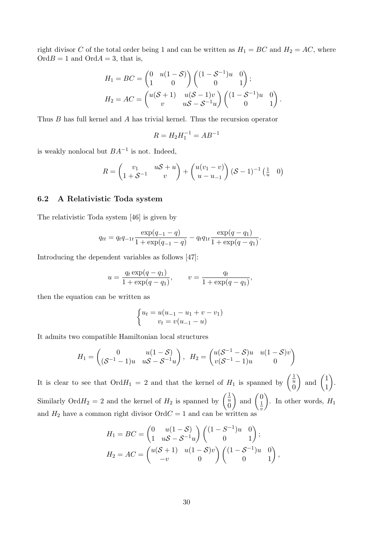right divisor C of the total order being 1 and can be written as  $H_1 = BC$  and  $H_2 = AC$ , where  $O\text{rd}B = 1$  and  $O\text{rd}A = 3$ , that is,

$$
H_1 = BC = \begin{pmatrix} 0 & u(1-\mathcal{S}) \\ 1 & 0 \end{pmatrix} \begin{pmatrix} (1-\mathcal{S}^{-1})u & 0 \\ 0 & 1 \end{pmatrix};
$$
  
\n
$$
H_2 = AC = \begin{pmatrix} u(\mathcal{S}+1) & u(\mathcal{S}-1)v \\ v & u\mathcal{S}-\mathcal{S}^{-1}u \end{pmatrix} \begin{pmatrix} (1-\mathcal{S}^{-1})u & 0 \\ 0 & 1 \end{pmatrix}
$$

.

Thus B has full kernel and A has trivial kernel. Thus the recursion operator

$$
R = H_2 H_1^{-1} = A B^{-1}
$$

is weakly nonlocal but  $BA^{-1}$  is not. Indeed,

$$
R = \begin{pmatrix} v_1 & u\mathcal{S} + u \\ 1 + \mathcal{S}^{-1} & v \end{pmatrix} + \begin{pmatrix} u(v_1 - v) \\ u - u_{-1} \end{pmatrix} (\mathcal{S} - 1)^{-1} \begin{pmatrix} \frac{1}{u} & 0 \end{pmatrix}
$$

#### 6.2 A Relativistic Toda system

The relativistic Toda system [46] is given by

$$
q_{tt} = q_t q_{-1t} \frac{\exp(q_{-1} - q)}{1 + \exp(q_{-1} - q)} - q_t q_{1t} \frac{\exp(q - q_1)}{1 + \exp(q - q_1)}.
$$

Introducing the dependent variables as follows [47]:

$$
u = \frac{q_t \exp(q - q_1)}{1 + \exp(q - q_1)}, \qquad v = \frac{q_t}{1 + \exp(q - q_1)},
$$

then the equation can be written as

$$
\begin{cases} u_t = u(u_{-1} - u_1 + v - v_1) \\ v_t = v(u_{-1} - u) \end{cases}
$$

It admits two compatible Hamiltonian local structures

$$
H_1 = \begin{pmatrix} 0 & u(1-\mathcal{S}) \\ (\mathcal{S}^{-1}-1)u & u\mathcal{S}-\mathcal{S}^{-1}u \end{pmatrix}, \ H_2 = \begin{pmatrix} u(\mathcal{S}^{-1}-\mathcal{S})u & u(1-\mathcal{S})v \\ v(\mathcal{S}^{-1}-1)u & 0 \end{pmatrix}
$$

It is clear to see that  $\text{Ord} H_1 = 2$  and that the kernel of  $H_1$  is spanned by  $\begin{pmatrix} \frac{1}{u} \\ 0 \end{pmatrix}$ ) and  $\begin{pmatrix} 1 \\ 1 \end{pmatrix}$ 1 . Similarly Ord $H_2 = 2$  and the kernel of  $H_2$  is spanned by  $\begin{pmatrix} \frac{1}{u} \\ 0 \end{pmatrix}$ ) and  $\begin{pmatrix} 0 \\ 1 \end{pmatrix}$ 1 v ). In other words,  $H_1$ and  $H_2$  have a common right divisor  $\text{Ord }C=1$  and can be written as

$$
H_1 = BC = \begin{pmatrix} 0 & u(1 - S) \\ 1 & uS - S^{-1}u \end{pmatrix} \begin{pmatrix} (1 - S^{-1})u & 0 \\ 0 & 1 \end{pmatrix};
$$
  
\n
$$
H_2 = AC = \begin{pmatrix} u(S + 1) & u(1 - S)v \\ -v & 0 \end{pmatrix} \begin{pmatrix} (1 - S^{-1})u & 0 \\ 0 & 1 \end{pmatrix},
$$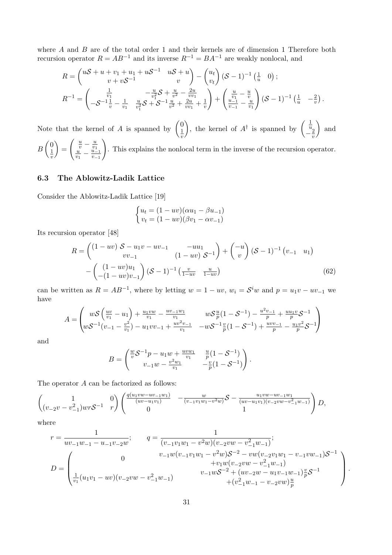where A and B are of the total order 1 and their kernels are of dimension 1 Therefore both recursion operator  $R = AB^{-1}$  and its inverse  $R^{-1} = BA^{-1}$  are weakly nonlocal, and

$$
R = \begin{pmatrix} uS + u + v_1 + u_1 + uS^{-1} & uS + u \ v + vS^{-1} & v \end{pmatrix} - \begin{pmatrix} u_t \\ v_t \end{pmatrix} (S - 1)^{-1} \begin{pmatrix} \frac{1}{u} & 0 \end{pmatrix};
$$
  
\n
$$
R^{-1} = \begin{pmatrix} \frac{1}{v_1} & -\frac{u}{v_1^2}S + \frac{u}{v^2} - \frac{2u}{vv_1} \\ -S^{-1}\frac{1}{v} - \frac{1}{v_1} & \frac{u}{v_1^2}S + S^{-1}\frac{u}{v^2} + \frac{2u}{vv_1} + \frac{1}{v} \end{pmatrix} + \begin{pmatrix} \frac{u}{v_1} - \frac{u}{v} \\ \frac{u-1}{v-1} - \frac{u}{v_1} \end{pmatrix} (S - 1)^{-1} \begin{pmatrix} \frac{1}{u} & -\frac{2}{v} \end{pmatrix}.
$$

Note that the kernel of A is spanned by  $\begin{pmatrix} 0 \\ 1 \end{pmatrix}$ 1 v ), the kernel of  $A^{\dagger}$  is spanned by  $\begin{pmatrix} \frac{1}{u} \\ -\frac{2}{v} \end{pmatrix}$ v ) and  $B\begin{pmatrix} 0 \\ 1 \end{pmatrix}$ 1  $\overline{v}$  $=$  $\int \frac{u}{v} - \frac{u}{v_1}$  $\frac{v}{u}$   $\frac{v_1}{u_1}$  $\frac{u}{v_1} - \frac{u-1}{v-1}$  $v_{-1}$  $\setminus$ . This explains the nonlocal term in the inverse of the recursion operator.

## 6.3 The Ablowitz-Ladik Lattice

Consider the Ablowitz-Ladik Lattice [19]

$$
\begin{cases} u_t = (1 - uv)(\alpha u_1 - \beta u_{-1}) \\ v_t = (1 - uv)(\beta v_1 - \alpha v_{-1}) \end{cases}
$$

Its recursion operator [48]

$$
R = \begin{pmatrix} (1 - uv) S - u_1 v - uv_{-1} & -uu_1 \ v v_{-1} & (1 - uv) S^{-1} \end{pmatrix} + \begin{pmatrix} -u \ v \end{pmatrix} (S - 1)^{-1} (v_{-1} u_1) - \begin{pmatrix} (1 - uv)u_1 \ -(1 - uv)v_{-1} \end{pmatrix} (S - 1)^{-1} \begin{pmatrix} \frac{v}{1 - uv} & \frac{u}{1 - uv} \end{pmatrix}
$$
(62)

can be written as  $R = AB^{-1}$ , where by letting  $w = 1 - uv$ ,  $w_i = S^i w$  and  $p = u_1 v - uv_{-1}$  we have

$$
A = \begin{pmatrix} w\mathcal{S} \left(\frac{uv}{v_1} - u_1\right) + \frac{u_1 vw}{v_1} - \frac{uv_{-1}w_1}{v_1} & w\mathcal{S}\frac{u}{p}(1 - \mathcal{S}^{-1}) - \frac{u^2 v_{-1}}{p} + \frac{u u_1 v}{p}\mathcal{S}^{-1} \\ w\mathcal{S}^{-1}(v_{-1} - \frac{v^2}{v_1}) - u_1 vv_{-1} + \frac{uv^2 v_{-1}}{v_1} & -w\mathcal{S}^{-1}\frac{v}{p}(1 - \mathcal{S}^{-1}) + \frac{uv v_{-1}}{p} - \frac{u_1 v^2}{p}\mathcal{S}^{-1} \end{pmatrix}
$$

and

$$
B = \begin{pmatrix} \frac{w}{v} S^{-1} p - u_1 w + \frac{w w_1}{v_1} & \frac{u}{p} (1 - S^{-1}) \\ v_{-1} w - \frac{v^2 w_1}{v_1} & -\frac{v}{p} (1 - S^{-1}) \end{pmatrix}.
$$

The operator A can be factorized as follows:

$$
\begin{pmatrix} 1 & 0 \ (v_{-2}v - v_{-1}^2)wr\mathcal{S}^{-1} & r \end{pmatrix} \begin{pmatrix} \frac{q(u_1vw - uv_{-1}w_1)}{(uv - u_1v_1)} & -\frac{w}{(v_{-1}v_1w_1 - v^2w)}\mathcal{S} - \frac{u_1vw - uv_{-1}w_1}{(uv - u_1v_1)(v_{-2}vw - v_{-1}^2w_{-1})} \end{pmatrix} D,
$$

where

$$
r = \frac{1}{uv_{-1}w_{-1} - u_{-1}v_{-2}w};
$$
  
\n
$$
q = \frac{1}{(v_{-1}v_{1}w_{1} - v^{2}w)(v_{-2}vw - v_{-1}^{2}w_{-1})};
$$
  
\n
$$
D = \begin{pmatrix}\n0 & v_{-1}w(v_{-1}v_{1}w_{1} - v^{2}w)S^{-2} - vw(v_{-2}v_{1}w_{1} - v_{-1}vw_{-1})S^{-1} \\
0 & v_{-1}w(v_{-1}v_{1}w_{1} - v^{2}w)S^{-2} - vw(v_{-2}v_{1}w_{1} - v_{-1}vw_{-1})S^{-1} \\
+v_{1}w(v_{-2}vw - v_{-1}^{2}w_{-1}) & v_{-1}wS^{-2} + (uv_{-2}w - u_{1}v_{-1}w_{-1})\frac{v}{p}S^{-1} \\
+(v_{-1}^{2}w_{-1} - v_{-2}vw)\frac{u}{p}\n\end{pmatrix}.
$$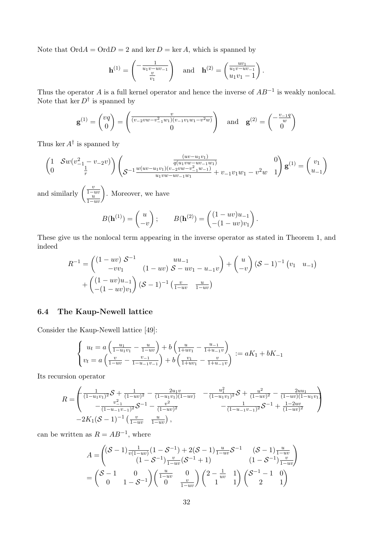Note that  $\mathrm{Ord}A=\mathrm{Ord}D=2$  and ker  $D=\ker A$ , which is spanned by

$$
\mathbf{h}^{(1)} = \begin{pmatrix} -\frac{1}{u_1 v - u v_{-1}} \\ \frac{v}{v_1} \end{pmatrix} \text{ and } \mathbf{h}^{(2)} = \begin{pmatrix} \frac{uv_1}{u_1 v - u v_{-1}} \\ u_1 v_1 - 1 \end{pmatrix}.
$$

Thus the operator A is a full kernel operator and hence the inverse of  $AB^{-1}$  is weakly nonlocal. Note that ker  $D^{\dagger}$  is spanned by

$$
\mathbf{g}^{(1)} = \begin{pmatrix} vq \\ 0 \end{pmatrix} = \begin{pmatrix} \frac{v}{(v_{-2}vw - v_{-1}^2w_1)(v_{-1}v_1w_1 - v^2w)} \\ 0 \end{pmatrix} \text{ and } \mathbf{g}^{(2)} = \begin{pmatrix} -\frac{v_{-1}q}{w} \\ 0 \end{pmatrix}
$$

Thus ker  $A^{\dagger}$  is spanned by

$$
\begin{pmatrix}\n1 & \mathcal{S}w(v_{-1}^2 - v_{-2}v) \\
0 & \frac{1}{r}\n\end{pmatrix}\n\begin{pmatrix}\n\frac{(uv - u_1v_1)}{q(u_1vw - uv_{-1}w_1)} \\
\mathcal{S}^{-1}\frac{w(uv - u_1v_1)(v_{-2}vw - v_{-1}^2w_{-1})}{u_1vw - uv_{-1}w_1} + v_{-1}v_1w_1 - v^2w\n\end{pmatrix}\n\mathbf{g}^{(1)} = \begin{pmatrix}\nv_1 \\
u_{-1}\n\end{pmatrix}
$$

and similarly  $\begin{pmatrix} \frac{v}{1-uv} \\ \frac{u}{1-uv} \end{pmatrix}$ . Moreover, we have

$$
B(\mathbf{h}^{(1)}) = \begin{pmatrix} u \\ -v \end{pmatrix}; \qquad B(\mathbf{h}^{(2)}) = \begin{pmatrix} (1 - uv)u_{-1} \\ -(1 - uv)v_1 \end{pmatrix}.
$$

These give us the nonlocal term appearing in the inverse operator as stated in Theorem 1, and indeed

$$
R^{-1} = \begin{pmatrix} (1 - uv) S^{-1} & uu_{-1} \\ -vv_1 & (1 - uv) S - uv_1 - u_{-1}v \end{pmatrix} + \begin{pmatrix} u \\ -v \end{pmatrix} (S - 1)^{-1} (v_1 & u_{-1}) \\ + \begin{pmatrix} (1 - uv)u_{-1} \\ -(1 - uv)v_1 \end{pmatrix} (S - 1)^{-1} \begin{pmatrix} \frac{v}{1 - uv} & \frac{u}{1 - uv} \end{pmatrix}
$$

#### 6.4 The Kaup-Newell lattice

Consider the Kaup-Newell lattice [49]:

$$
\begin{cases} u_t = a \left( \frac{u_1}{1 - u_1 v_1} - \frac{u}{1 - uv} \right) + b \left( \frac{u}{1 + uv_1} - \frac{u_{-1}}{1 + u_{-1} v} \right) \\ v_t = a \left( \frac{v}{1 - uv} - \frac{v_{-1}}{1 - u_{-1} v_{-1}} \right) + b \left( \frac{v_1}{1 + uv_1} - \frac{v}{1 + u_{-1} v} \right) := aK_1 + bK_{-1} \end{cases}
$$

Its recursion operator

$$
R = \begin{pmatrix} \frac{1}{(1-u_1v_1)^2} \mathcal{S} + \frac{1}{(1-u_1v_1)^2} - \frac{2u_1v}{(1-u_1v_1)(1-uv)} & -\frac{u_1^2}{(1-u_1v_1)^2} \mathcal{S} + \frac{u^2}{(1-uv)^2} - \frac{2uu_1}{(1-u)(1-u_1v_1)} \\ -\frac{v^2}{(1-u_1v_1)^2} \mathcal{S}^{-1} - \frac{v^2}{(1-uv)^2} & -\frac{1}{(1-u_1v_1)^2} \mathcal{S}^{-1} + \frac{1-2uv}{(1-uv)^2} \\ -2K_1(\mathcal{S}-1)^{-1} \left( \frac{v}{1-uv} & \frac{u}{1-uv} \right), \end{pmatrix}
$$

can be written as  $R = AB^{-1}$ , where

$$
A = \begin{pmatrix} (\mathcal{S} - 1) \frac{1}{v(1 - uv)} (1 - \mathcal{S}^{-1}) + 2(\mathcal{S} - 1) \frac{u}{1 - uv} \mathcal{S}^{-1} & (\mathcal{S} - 1) \frac{u}{1 - uv} \\ (1 - \mathcal{S}^{-1}) \frac{v}{1 - uv} (\mathcal{S}^{-1} + 1) & (1 - \mathcal{S}^{-1}) \frac{v}{1 - uv} \end{pmatrix}
$$
  
= 
$$
\begin{pmatrix} \mathcal{S} - 1 & 0 \\ 0 & 1 - \mathcal{S}^{-1} \end{pmatrix} \begin{pmatrix} \frac{u}{1 - uv} & 0 \\ 0 & \frac{v}{1 - uv} \end{pmatrix} \begin{pmatrix} 2 - \frac{1}{uv} & 1 \\ 1 & 1 \end{pmatrix} \begin{pmatrix} \mathcal{S}^{-1} - 1 & 0 \\ 2 & 1 \end{pmatrix}
$$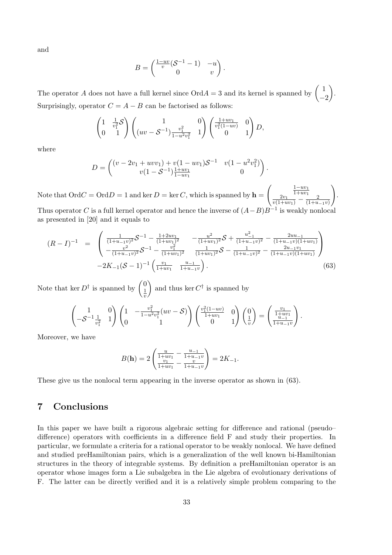and

$$
B = \begin{pmatrix} \frac{1 - uv}{v} (\mathcal{S}^{-1} - 1) & -u \\ 0 & v \end{pmatrix}.
$$

The operator A does not have a full kernel since  $O\text{rd}A = 3$  and its kernel is spanned by  $\begin{pmatrix} 1 & 1 \\ 1 & 1 \end{pmatrix}$  $-2$  . Surprisingly, operator  $C = A - B$  can be factorised as follows:

$$
\begin{pmatrix} 1 & \frac{1}{v_1^2} S \\ 0 & 1 \end{pmatrix} \begin{pmatrix} 1 & 0 \\ (uv - S^{-1}) \frac{v_1^2}{1 - u^2 v_1^2} & 1 \end{pmatrix} \begin{pmatrix} \frac{1 + uv_1}{v_1^2 (1 - uv)} & 0 \\ 0 & 1 \end{pmatrix} D,
$$

where

$$
D = \begin{pmatrix} (v - 2v_1 + uvv_1) + v(1 - uv_1)S^{-1} & v(1 - u^2v_1^2) \\ v(1 - S^{-1})\frac{1 + uv_1}{1 - uv_1} & 0 \end{pmatrix}.
$$

Note that  $\mathrm{Ord}C=\mathrm{Ord}D=1$  and ker  $D=\ker C,$  which is spanned by  $\mathbf{h} =$  $\left(\frac{\frac{1-uv_1}{1+uv_1}}{v(1+uv_1)} - \frac{2}{(1+u)}\right)$  $(1+u_{-1}v)$  $\setminus$ . Thus operator C is a full kernel operator and hence the inverse of  $(A - B)B^{-1}$  is weakly nonlocal as presented in [20] and it equals to

$$
(R-I)^{-1} = \begin{pmatrix} \frac{1}{(1+u_{-1}v)^2} \mathcal{S}^{-1} - \frac{1+2uv_1}{(1+uv_1)^2} & -\frac{u^2}{(1+uv_1)^2} \mathcal{S} + \frac{u_{-1}^2}{(1+u_{-1}v)^2} - \frac{2uu_{-1}}{(1+u_{-1}v)(1+uv_1)} \\ -\frac{v^2}{(1+u_{-1}v)^2} \mathcal{S}^{-1} - \frac{v_1^2}{(1+uv_1)^2} & \frac{1}{(1+uv_1)^2} \mathcal{S} - \frac{1}{(1+u_{-1}v)^2} - \frac{2u_{-1}v_1}{(1+u_{-1}v)(1+uv_1)} \\ -2K_{-1}(\mathcal{S}-1)^{-1} \left( \frac{v_1}{1+uv_1} & \frac{u_{-1}}{1+u_{-1}v} \right). \end{pmatrix}
$$
(63)

Note that ker  $D^{\dagger}$  is spanned by  $\begin{pmatrix} 0 \\ 1 \end{pmatrix}$ 1 v ) and thus ker  $C^{\dagger}$  is spanned by

$$
\begin{pmatrix} 1 & 0 \ -S^{-1} \frac{1}{v_1^2} & 1 \end{pmatrix} \begin{pmatrix} 1 & -\frac{v_1^2}{1-u^2 v_1^2} (uv - S) \\ 0 & 1 \end{pmatrix} \begin{pmatrix} \frac{v_1^2 (1-uv)}{1+uv_1} & 0 \\ 0 & 1 \end{pmatrix} \begin{pmatrix} 0 \\ \frac{1}{v} \end{pmatrix} = \begin{pmatrix} \frac{v_1}{1+uv_1} \\ \frac{u_{-1}}{1+u_{-1}v} \end{pmatrix}.
$$

Moreover, we have

$$
B(\mathbf{h}) = 2 \left( \frac{\frac{u}{1+uv_1} - \frac{u_{-1}}{1+u_{-1}v}}{\frac{v_1}{1+uv_1} - \frac{v}{1+u_{-1}v}} \right) = 2K_{-1}.
$$

These give us the nonlocal term appearing in the inverse operator as shown in (63).

# 7 Conclusions

In this paper we have built a rigorous algebraic setting for difference and rational (pseudo– difference) operators with coefficients in a difference field F and study their properties. In particular, we formulate a criteria for a rational operator to be weakly nonlocal. We have defined and studied preHamiltonian pairs, which is a generalization of the well known bi-Hamiltonian structures in the theory of integrable systems. By definition a preHamiltonian operator is an operator whose images form a Lie subalgebra in the Lie algebra of evolutionary derivations of F. The latter can be directly verified and it is a relatively simple problem comparing to the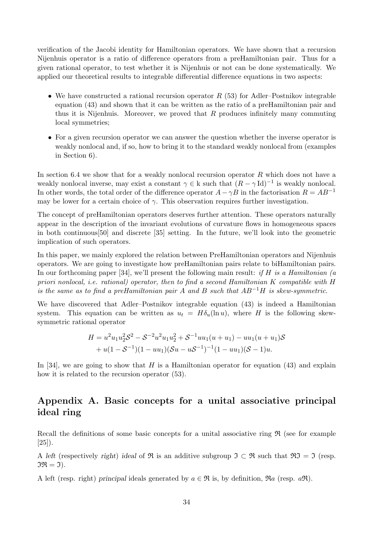verification of the Jacobi identity for Hamiltonian operators. We have shown that a recursion Nijenhuis operator is a ratio of difference operators from a preHamiltonian pair. Thus for a given rational operator, to test whether it is Nijenhuis or not can be done systematically. We applied our theoretical results to integrable differential difference equations in two aspects:

- We have constructed a rational recursion operator  $R(53)$  for Adler–Postnikov integrable equation (43) and shown that it can be written as the ratio of a preHamiltonian pair and thus it is Nijenhuis. Moreover, we proved that  $R$  produces infinitely many commuting local symmetries;
- For a given recursion operator we can answer the question whether the inverse operator is weakly nonlocal and, if so, how to bring it to the standard weakly nonlocal from (examples in Section 6).

In section 6.4 we show that for a weakly nonlocal recursion operator R which does not have a weakly nonlocal inverse, may exist a constant  $\gamma \in k$  such that  $(R - \gamma \text{Id})^{-1}$  is weakly nonlocal. In other words, the total order of the difference operator  $A - \gamma B$  in the factorisation  $R = AB^{-1}$ may be lower for a certain choice of  $\gamma$ . This observation requires further investigation.

The concept of preHamiltonian operators deserves further attention. These operators naturally appear in the description of the invariant evolutions of curvature flows in homogeneous spaces in both continuous[50] and discrete [35] setting. In the future, we'll look into the geometric implication of such operators.

In this paper, we mainly explored the relation between PreHamiltonian operators and Nijenhuis operators. We are going to investigate how preHamiltonian pairs relate to biHamiltonian pairs. In our forthcoming paper [34], we'll present the following main result: if H is a Hamiltonian (a priori nonlocal, i.e. rational) operator, then to find a second Hamiltonian K compatible with H is the same as to find a preHamiltonian pair A and B such that  $AB^{-1}H$  is skew-symmetric.

We have discovered that Adler–Postnikov integrable equation (43) is indeed a Hamiltonian system. This equation can be written as  $u_t = H \delta_u(\ln u)$ , where H is the following skewsymmetric rational operator

$$
H = u2u1u22S2 - S-2u2u1u22 + S-1uu1(u + u1) - uu1(u + u1)S
$$
  
+ u(1 - S<sup>-1</sup>)(1 - uu<sub>1</sub>)(Su – uS<sup>-1</sup>)<sup>-1</sup>(1 – uu<sub>1</sub>)(S – 1)u.

In [34], we are going to show that  $H$  is a Hamiltonian operator for equation (43) and explain how it is related to the recursion operator (53).

# Appendix A. Basic concepts for a unital associative principal ideal ring

Recall the definitions of some basic concepts for a unital associative ring  $\Re$  (see for example [25]).

A left (respectively right) ideal of R is an additive subgroup  $\mathfrak{I} \subset \mathfrak{R}$  such that  $\mathfrak{RT} = \mathfrak{I}$  (resp.  $\mathfrak{IR} = \mathfrak{I}.$ 

A left (resp. right) principal ideals generated by  $a \in \mathfrak{R}$  is, by definition,  $\Re a$  (resp.  $a\mathfrak{R}$ ).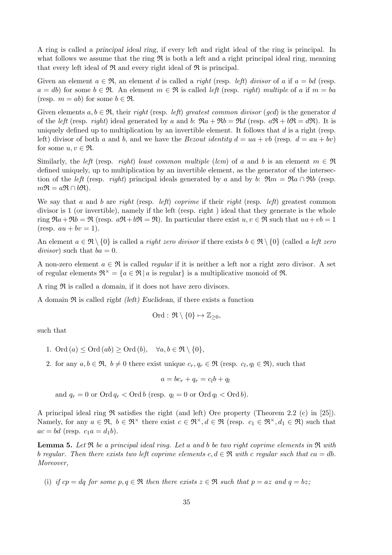A ring is called a principal ideal ring, if every left and right ideal of the ring is principal. In what follows we assume that the ring  $\Re$  is both a left and a right principal ideal ring, meaning that every left ideal of  $\Re$  and every right ideal of  $\Re$  is principal.

Given an element  $a \in \mathfrak{R}$ , an element d is called a *right* (resp. *left)* divisor of a if  $a = bd$  (resp.  $a = db$  for some  $b \in \mathfrak{R}$ . An element  $m \in \mathfrak{R}$  is called left (resp. right) multiple of a if  $m = ba$ (resp.  $m = ab$ ) for some  $b \in \mathfrak{R}$ .

Given elements  $a, b \in \mathfrak{R}$ , their right (resp. *left)* greatest common divisor (gcd) is the generator d of the left (resp. right) ideal generated by a and b:  $\Re a + \Re b = \Re d$  (resp.  $a\Re + b\Re = d\Re$ ). It is uniquely defined up to multiplication by an invertible element. It follows that  $d$  is a right (resp. left) divisor of both a and b, and we have the *Bezout identity*  $d = ua + vb$  (resp.  $d = au + bv$ ) for some  $u, v \in \mathfrak{R}$ .

Similarly, the left (resp. right) least common multiple (lcm) of a and b is an element  $m \in \mathfrak{R}$ defined uniquely, up to multiplication by an invertible element, as the generator of the intersection of the left (resp. right) principal ideals generated by a and by b:  $\Re m = \Re a \cap \Re b$  (resp.  $m\mathfrak{R} = a\mathfrak{R} \cap b\mathfrak{R}$ ).

We say that a and b are right (resp. *left)* coprime if their right (resp. *left)* greatest common divisor is 1 (or invertible), namely if the left (resp. right ) ideal that they generate is the whole ring  $\Re a + \Re b = \Re$  (resp.  $a\Re + b\Re = \Re$ ). In particular there exist  $u, v \in \Re$  such that  $ua + vb = 1$  $(resp. \, au + bv = 1).$ 

An element  $a \in \mathfrak{R} \setminus \{0\}$  is called a *right zero divisor* if there exists  $b \in \mathfrak{R} \setminus \{0\}$  (called a left zero divisor) such that  $ba = 0$ .

A non-zero element  $a \in \mathfrak{R}$  is called *regular* if it is neither a left nor a right zero divisor. A set of regular elements  $\mathfrak{R}^{\times} = \{a \in \mathfrak{R} \mid a \text{ is regular}\}\$ is a multiplicative monoid of  $\mathfrak{R}$ .

A ring  $\Re$  is called a *domain*, if it does not have zero divisors.

A domain  $\Re$  is called *right (left)* Euclidean, if there exists a function

$$
\mathrm{Ord}:\, \mathfrak{R}\setminus\{0\} \mapsto \mathbb{Z}_{\geq 0},
$$

such that

- 1. Ord  $(a) \leq$  Ord  $(ab) \geq$  Ord  $(b)$ ,  $\forall a, b \in \mathfrak{R} \setminus \{0\},$
- 2. for any  $a, b \in \mathfrak{R}$ ,  $b \neq 0$  there exist unique  $c_r, q_r \in \mathfrak{R}$  (resp.  $c_l, q_l \in \mathfrak{R}$ ), such that

 $a = bc_r + q_r = c_l b + q_l$ 

and  $q_r = 0$  or  $\text{Ord } q_r < \text{Ord } b$  (resp.  $q_l = 0$  or  $\text{Ord } q_l < \text{Ord } b$ ).

A principal ideal ring  $\Re$  satisfies the right (and left) Ore property (Theorem 2.2 (c) in [25]). Namely, for any  $a \in \mathfrak{R}$ ,  $b \in \mathfrak{R}^{\times}$  there exist  $c \in \mathfrak{R}^{\times}, d \in \mathfrak{R}$  (resp.  $c_1 \in \mathfrak{R}^{\times}, d_1 \in \mathfrak{R}$ ) such that  $ac = bd$  (resp.  $c_1a = d_1b$ ).

**Lemma 5.** Let  $\Re$  be a principal ideal ring. Let a and b be two right coprime elements in  $\Re$  with b regular. Then there exists two left coprime elements  $c, d \in \mathfrak{R}$  with c regular such that  $ca = db$ . Moreover,

(i) if  $cp = dq$  for some  $p, q \in \mathfrak{R}$  then there exists  $z \in \mathfrak{R}$  such that  $p = az$  and  $q = bz$ ;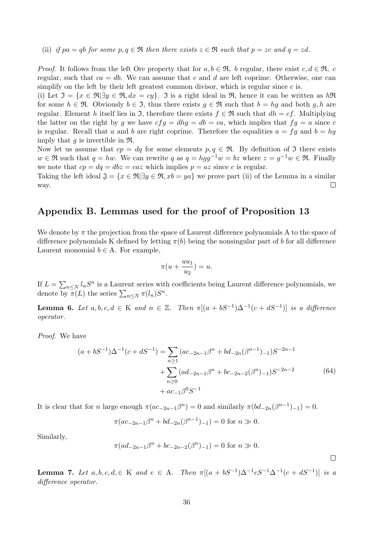(ii) if pa = qb for some p, q  $\in \mathfrak{R}$  then there exists  $z \in \mathfrak{R}$  such that  $p = zc$  and  $q = zd$ .

*Proof.* It follows from the left Ore property that for  $a, b \in \mathfrak{R}$ , b regular, there exist  $c, d \in \mathfrak{R}$ , c regular, such that  $ca = db$ . We can assume that c and d are left coprime. Otherwise, one can simplify on the left by their left greatest common divisor, which is regular since  $c$  is.

(i) Let  $\mathfrak{I} = \{x \in \mathfrak{R} | \exists y \in \mathfrak{R}, dx = cy\}$ . It is a right ideal in  $\mathfrak{R}$ , hence it can be written as  $h\mathfrak{R}$ for some  $h \in \mathfrak{R}$ . Obviously  $b \in \mathfrak{I}$ , thus there exists  $g \in \mathfrak{R}$  such that  $b = hg$  and both g, h are regular. Element h itself lies in  $\mathfrak{I}$ , therefore there exists  $f \in \mathfrak{R}$  such that  $dh = cf$ . Multiplying the latter on the right by g we have  $cfg = dhg = db = ca$ , which implies that  $fg = a$  since c is regular. Recall that a and b are right coprime. Therefore the equalities  $a = fg$  and  $b = hg$ imply that  $g$  is invertible in  $\mathfrak{R}$ .

Now let us assume that  $cp = dq$  for some elements  $p, q \in \mathfrak{R}$ . By definition of  $\mathfrak I$  there exists  $w \in \mathfrak{R}$  such that  $q = hw$ . We can rewrite q as  $q = hgg^{-1}w = bz$  where  $z = g^{-1}w \in \mathfrak{R}$ . Finally we note that  $cp = dq = dbz = caz$  which implies  $p = az$  since c is regular.

Taking the left ideal  $\mathfrak{J} = \{x \in \mathfrak{R} | \exists y \in \mathfrak{R}, xb = ya\}$  we prove part (ii) of the Lemma in a similar way.  $\Box$ 

## Appendix B. Lemmas used for the proof of Proposition 13

We denote by  $\pi$  the projection from the space of Laurent difference polynomials A to the space of difference polynomials K defined by letting  $\pi(b)$  being the nonsingular part of b for all difference Laurent monomial  $b \in A$ . For example,

$$
\pi(u+\frac{uu_1}{u_2})=u.
$$

If  $L = \sum_{n \leq N} l_n S^n$  is a Laurent series with coefficients being Laurent difference polynomials, we denote by  $\pi(L)$  the series  $\sum_{n\leq N} \pi(l_n)S^n$ .

**Lemma 6.** Let  $a, b, c, d \in K$  and  $n \in \mathbb{Z}$ . Then  $\pi[(a + bS^{-1})\Delta^{-1}(c + dS^{-1})]$  is a difference operator.

Proof. We have

$$
(a+bS^{-1})\Delta^{-1}(c+dS^{-1}) = \sum_{n\geq 1} (ac_{-2n-1}\beta^n + bd_{-2n}(\beta^{n-1})_{-1})S^{-2n-1} + \sum_{n\geq 0} (ad_{-2n-1}\beta^n + bc_{-2n-2}(\beta^n)_{-1})S^{-2n-2} + ac_{-1}\beta^0 S^{-1}
$$
 (64)

It is clear that for n large enough  $\pi(ac_{-2n-1}\beta^{n})=0$  and similarly  $\pi(bd_{-2n}(\beta^{n-1})_{-1})=0$ .

$$
\pi(ac_{-2n-1}\beta^{n} + bd_{-2n}(\beta^{n-1})_{-1}) = 0 \text{ for } n \gg 0.
$$

Similarly,

$$
\pi(ad_{-2n-1}\beta^{n}+bc_{-2n-2}(\beta^{n})_{-1})=0 \text{ for } n \gg 0.
$$

 $\Box$ 

**Lemma 7.** Let  $a, b, c, d \in K$  and  $e \in A$ . Then  $\pi[(a + bS^{-1})\Delta^{-1}eS^{-1}\Delta^{-1}(c + dS^{-1})]$  is a difference operator.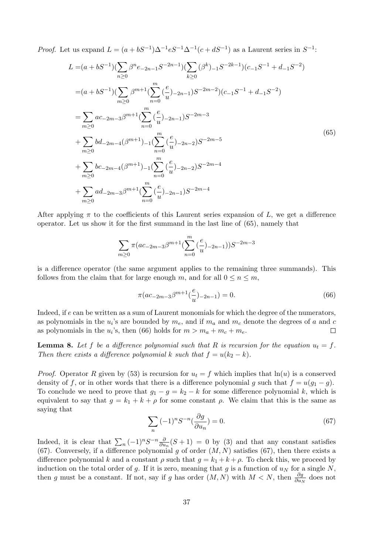*Proof.* Let us expand  $L = (a + bS^{-1})\Delta^{-1}eS^{-1}\Delta^{-1}(c + dS^{-1})$  as a Laurent series in  $S^{-1}$ :

$$
L = (a + bS^{-1})(\sum_{n\geq 0} \beta^{n}e_{-2n-1}S^{-2n-1})(\sum_{k\geq 0} (\beta^{k})_{-1}S^{-2k-1})(c_{-1}S^{-1} + d_{-1}S^{-2})
$$
  
\n
$$
= (a + bS^{-1})(\sum_{m\geq 0} \beta^{m+1}(\sum_{n=0}^{m} \left(\frac{e}{u}\right)_{-2n-1})S^{-2m-2})(c_{-1}S^{-1} + d_{-1}S^{-2})
$$
  
\n
$$
= \sum_{m\geq 0} ac_{-2m-3}\beta^{m+1}(\sum_{n=0}^{m} \left(\frac{e}{u}\right)_{-2n-1})S^{-2m-3}
$$
  
\n
$$
+ \sum_{m\geq 0} bd_{-2m-4}(\beta^{m+1})_{-1}(\sum_{n=0}^{m} \left(\frac{e}{u}\right)_{-2n-2})S^{-2m-5}
$$
  
\n
$$
+ \sum_{m\geq 0} bc_{-2m-4}(\beta^{m+1})_{-1}(\sum_{n=0}^{m} \left(\frac{e}{u}\right)_{-2n-2})S^{-2m-4}
$$
  
\n
$$
+ \sum_{m\geq 0} ad_{-2m-3}\beta^{m+1}(\sum_{n=0}^{m} \left(\frac{e}{u}\right)_{-2n-1})S^{-2m-4}
$$
  
\n
$$
(65)
$$

After applying  $\pi$  to the coefficients of this Laurent series expansion of L, we get a difference operator. Let us show it for the first summand in the last line of (65), namely that

$$
\sum_{m\geq 0} \pi(ac_{-2m-3}\beta^{m+1}(\sum_{n=0}^{m}(\frac{e}{u})_{-2n-1}))S^{-2m-3}
$$

is a difference operator (the same argument applies to the remaining three summands). This follows from the claim that for large enough m, and for all  $0 \le n \le m$ ,

$$
\pi(ac_{-2m-3}\beta^{m+1}\left(\frac{e}{u}\right)_{-2n-1}) = 0.
$$
\n(66)

Indeed, if e can be written as a sum of Laurent monomials for which the degree of the numerators, as polynomials in the  $u_i$ 's are bounded by  $m_e$ , and if  $m_a$  and  $m_c$  denote the degrees of a and c as polynomials in the  $u_i$ 's, then (66) holds for  $m > m_a + m_c + m_e$ .  $\Box$ 

**Lemma 8.** Let f be a difference polynomial such that R is recursion for the equation  $u_t = f$ . Then there exists a difference polynomial k such that  $f = u(k_2 - k)$ .

*Proof.* Operator R given by (53) is recursion for  $u_t = f$  which implies that  $ln(u)$  is a conserved density of f, or in other words that there is a difference polynomial g such that  $f = u(g_1 - g)$ . To conclude we need to prove that  $g_1 - g = k_2 - k$  for some difference polynomial k, which is equivalent to say that  $g = k_1 + k + \rho$  for some constant  $\rho$ . We claim that this is the same as saying that

$$
\sum_{n} (-1)^{n} S^{-n} \left(\frac{\partial g}{\partial u_{n}}\right) = 0. \tag{67}
$$

Indeed, it is clear that  $\sum_n (-1)^n S^{-n} \frac{\partial}{\partial u}$  $\frac{\partial}{\partial u_n}(S+1) = 0$  by (3) and that any constant satisfies (67). Conversely, if a difference polynomial g of order  $(M, N)$  satisfies (67), then there exists a difference polynomial k and a constant  $\rho$  such that  $g = k_1 + k + \rho$ . To check this, we proceed by induction on the total order of g. If it is zero, meaning that g is a function of  $u<sub>N</sub>$  for a single N, then g must be a constant. If not, say if g has order  $(M, N)$  with  $M < N$ , then  $\frac{\partial g}{\partial u_N}$  does not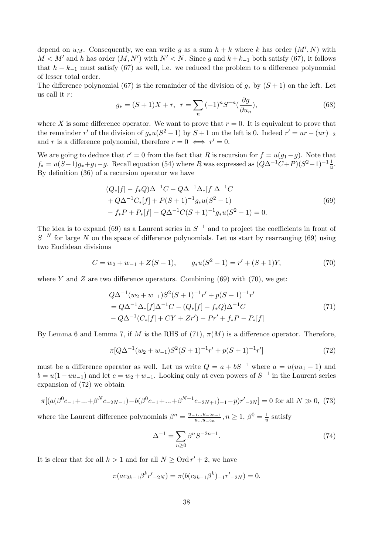depend on  $u_M$ . Consequently, we can write g as a sum  $h + k$  where k has order  $(M', N)$  with  $M < M'$  and h has order  $(M, N')$  with  $N' < N$ . Since g and  $k + k_{-1}$  both satisfy (67), it follows that  $h - k_{-1}$  must satisfy (67) as well, i.e. we reduced the problem to a difference polynomial of lesser total order.

The difference polynomial (67) is the remainder of the division of  $g_*$  by  $(S + 1)$  on the left. Let us call it r:

$$
g_* = (S+1)X + r, \ \ r = \sum_n (-1)^n S^{-n} \left(\frac{\partial g}{\partial u_n}\right),\tag{68}
$$

where X is some difference operator. We want to prove that  $r = 0$ . It is equivalent to prove that the remainder r' of the division of  $g_*u(S^2-1)$  by  $S+1$  on the left is 0. Indeed  $r' = ur - (ur)_{-2}$ and r is a difference polynomial, therefore  $r = 0 \iff r' = 0$ .

We are going to deduce that  $r' = 0$  from the fact that R is recursion for  $f = u(g_1 - g)$ . Note that  $f_* = u(S-1)g_* + g_1 - g$ . Recall equation (54) where R was expressed as  $(Q\Delta^{-1}C + P)(S^2 - 1)^{-1}\frac{1}{u}$ . By definition (36) of a recursion operator we have

$$
(Q_*[f] - f_*Q)\Delta^{-1}C - Q\Delta^{-1}\Delta_*[f]\Delta^{-1}C
$$
  
+  $Q\Delta^{-1}C_*[f] + P(S+1)^{-1}g_*u(S^2-1)$   
-  $f_*P + P_*[f] + Q\Delta^{-1}C(S+1)^{-1}g_*u(S^2-1) = 0.$  (69)

The idea is to expand (69) as a Laurent series in  $S^{-1}$  and to project the coefficients in front of  $S^{-N}$  for large N on the space of difference polynomials. Let us start by rearranging (69) using two Euclidean divisions

$$
C = w_2 + w_{-1} + Z(S+1), \qquad g_*u(S^2 - 1) = r' + (S+1)Y,\tag{70}
$$

where Y and Z are two difference operators. Combining (69) with (70), we get:

$$
Q\Delta^{-1}(w_2 + w_{-1})S^2(S+1)^{-1}r' + p(S+1)^{-1}r'
$$
  
=  $Q\Delta^{-1}\Delta_*[f]\Delta^{-1}C - (Q_*[f] - f_*Q)\Delta^{-1}C$   
-  $Q\Delta^{-1}(C_*[f] + CY + Zr') - Pr' + f_*P - P_*[f]$  (71)

By Lemma 6 and Lemma 7, if M is the RHS of (71),  $\pi(M)$  is a difference operator. Therefore,

$$
\pi[Q\Delta^{-1}(w_2+w_{-1})S^2(S+1)^{-1}r'+p(S+1)^{-1}r'] \tag{72}
$$

must be a difference operator as well. Let us write  $Q = a + bS^{-1}$  where  $a = u(uu_1 - 1)$  and  $b = u(1 - uu_{-1})$  and let  $c = w_2 + w_{-1}$ . Looking only at even powers of  $S^{-1}$  in the Laurent series expansion of (72) we obtain

$$
\pi[(a(\beta^{0}c_{-1} + ... + \beta^{N}c_{-2N-1}) - b(\beta^{0}c_{-1} + ... + \beta^{N-1}c_{-2N+1}) - (1-p)r'_{-2N}] = 0 \text{ for all } N \gg 0, (73)
$$

where the Laurent difference polynomials  $\beta^{n} = \frac{u_{-1}...u_{-2n-1}}{u_{-n}}$  $\frac{a_1...a_{-2n-1}}{a...a_{-2n}}, n \ge 1, \ \beta^0 = \frac{1}{u}$  $\frac{1}{u}$  satisfy

$$
\Delta^{-1} = \sum_{n \ge 0} \beta^n S^{-2n-1}.
$$
\n(74)

It is clear that for all  $k > 1$  and for all  $N \geq \text{Ord } r' + 2$ , we have

$$
\pi(ac_{2k-1}\beta^k r'_{-2N}) = \pi(b(c_{2k-1}\beta^k)_{-1}r'_{-2N}) = 0.
$$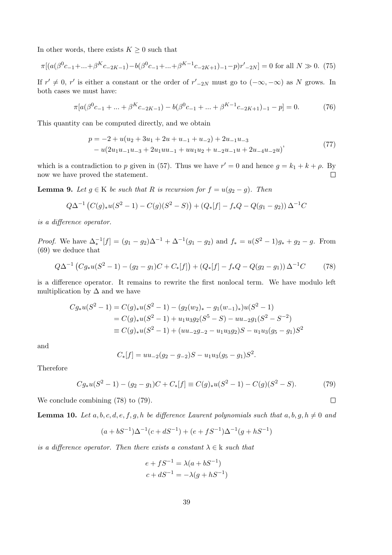In other words, there exists  $K \geq 0$  such that

$$
\pi[(a(\beta^{0}c_{-1} + ... + \beta^{K}c_{-2K-1}) - b(\beta^{0}c_{-1} + ... + \beta^{K-1}c_{-2K+1}) - (1-p)r'_{-2N}] = 0 \text{ for all } N \gg 0. \tag{75}
$$

If  $r' \neq 0$ , r' is either a constant or the order of  $r'_{-2N}$  must go to  $(-\infty, -\infty)$  as N grows. In both cases we must have:

$$
\pi[a(\beta^{0}c_{-1} + ... + \beta^{K}c_{-2K-1}) - b(\beta^{0}c_{-1} + ... + \beta^{K-1}c_{-2K+1}) - 1 - p] = 0.
$$
 (76)

This quantity can be computed directly, and we obtain

$$
p = -2 + u(u_2 + 3u_1 + 2u + u_{-1} + u_{-2}) + 2u_{-1}u_{-3}
$$
  
- 
$$
u(2u_1u_{-1}u_{-3} + 2u_1uu_{-1} + uu_1u_2 + u_{-2}u_{-1}u + 2u_{-4}u_{-2}u)
$$
<sup>(77)</sup>

which is a contradiction to p given in (57). Thus we have  $r' = 0$  and hence  $g = k_1 + k + \rho$ . By now we have proved the statement.  $\Box$ 

**Lemma 9.** Let  $g \in K$  be such that R is recursion for  $f = u(g_2 - g)$ . Then

$$
Q\Delta^{-1}(C(g)_{*}u(S^{2}-1)-C(g)(S^{2}-S))+(Q_{*}[f]-f_{*}Q-Q(g_{1}-g_{2}))\Delta^{-1}C
$$

is a difference operator.

*Proof.* We have  $\Delta_*^{-1}[f] = (g_1 - g_2)\Delta^{-1} + \Delta^{-1}(g_1 - g_2)$  and  $f_* = u(S^2 - 1)g_* + g_2 - g$ . From (69) we deduce that

$$
Q\Delta^{-1}(Cg_*u(S^2-1) - (g_2 - g_1)C + C_*[f]) + (Q_*[f] - f_*Q - Q(g_2 - g_1))\Delta^{-1}C
$$
 (78)

is a difference operator. It remains to rewrite the first nonlocal term. We have modulo left multiplication by  $\Delta$  and we have

$$
Cg_*u(S^2 - 1) = C(g)_*u(S^2 - 1) - (g_2(w_2)_* - g_1(w_{-1})_*)u(S^2 - 1)
$$
  
=  $C(g)_*u(S^2 - 1) + u_1u_3g_2(S^5 - S) - uu_{-2}g_1(S^2 - S^{-2})$   
\equiv  $C(g)_*u(S^2 - 1) + (uu_{-2}g_{-2} - u_1u_3g_2)S - u_1u_3(g_5 - g_1)S^2$ 

and

$$
C_*[f] = uu_{-2}(g_2 - g_{-2})S - u_1u_3(g_5 - g_1)S^2.
$$

Therefore

$$
Cg_*u(S^2-1) - (g_2 - g_1)C + C_*[f] \equiv C(g)_*u(S^2-1) - C(g)(S^2 - S). \tag{79}
$$

 $\Box$ 

We conclude combining (78) to (79).

**Lemma 10.** Let a, b, c, d, e, f, g, h be difference Laurent polynomials such that a, b, g,  $h \neq 0$  and

$$
(a+bS^{-1})\Delta^{-1}(c+dS^{-1}) + (e+fS^{-1})\Delta^{-1}(g+hS^{-1})
$$

is a difference operator. Then there exists a constant  $\lambda \in \mathbf{k}$  such that

$$
e + fS^{-1} = \lambda(a + bS^{-1})
$$
  

$$
c + dS^{-1} = -\lambda(g + hS^{-1})
$$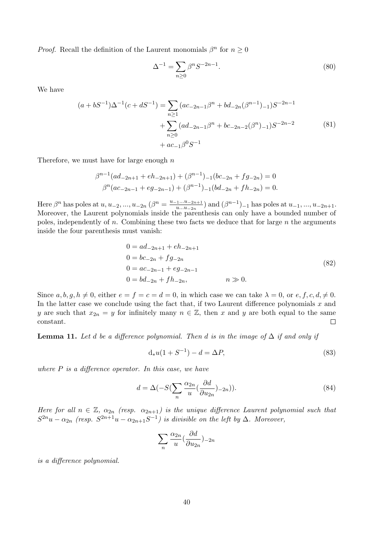*Proof.* Recall the definition of the Laurent monomials  $\beta^n$  for  $n \geq 0$ 

$$
\Delta^{-1} = \sum_{n \ge 0} \beta^n S^{-2n-1}.
$$
\n(80)

We have

$$
(a+bS^{-1})\Delta^{-1}(c+dS^{-1}) = \sum_{n\geq 1} (ac_{-2n-1}\beta^n + bd_{-2n}(\beta^{n-1})_{-1})S^{-2n-1} + \sum_{n\geq 0} (ad_{-2n-1}\beta^n + bc_{-2n-2}(\beta^n)_{-1})S^{-2n-2} + ac_{-1}\beta^0 S^{-1}
$$
 (81)

Therefore, we must have for large enough  $n$ 

$$
\beta^{n-1}(ad_{-2n+1} + eh_{-2n+1}) + (\beta^{n-1})_{-1}(bc_{-2n} + fg_{-2n}) = 0
$$
  

$$
\beta^n(ac_{-2n-1} + eg_{-2n-1}) + (\beta^{n-1})_{-1}(bd_{-2n} + fh_{-2n}) = 0.
$$

Here  $\beta^n$  has poles at  $u, u_{-2}, ..., u_{-2n}$   $(\beta^n = \frac{u_{-1}...u_{-2n+1}}{u_{...}u_{-2n}})$  $\lim_{u...u_{-2n}}$  and  $(\beta^{n-1})$ <sub>-1</sub> has poles at  $u_{-1},...,u_{-2n+1}$ . Moreover, the Laurent polynomials inside the parenthesis can only have a bounded number of poles, independently of n. Combining these two facts we deduce that for large  $n$  the arguments inside the four parenthesis must vanish:

$$
0 = ad_{-2n+1} + eh_{-2n+1}
$$
  
\n
$$
0 = bc_{-2n} + fg_{-2n}
$$
  
\n
$$
0 = ac_{-2n-1} + eg_{-2n-1}
$$
  
\n
$$
0 = bd_{-2n} + fh_{-2n}, \qquad n \gg 0.
$$
  
\n(82)

Since  $a, b, q, h \neq 0$ , either  $e = f = c = d = 0$ , in which case we can take  $\lambda = 0$ , or  $e, f, c, d, \neq 0$ . In the latter case we conclude using the fact that, if two Laurent difference polynomials  $x$  and y are such that  $x_{2n} = y$  for infinitely many  $n \in \mathbb{Z}$ , then x and y are both equal to the same constant.  $\Box$ 

**Lemma 11.** Let d be a difference polynomial. Then d is in the image of  $\Delta$  if and only if

$$
d_*u(1+S^{-1}) - d = \Delta P, \tag{83}
$$

where  $P$  is a difference operator. In this case, we have

$$
d = \Delta(-S(\sum_{n} \frac{\alpha_{2n}}{u}(\frac{\partial d}{\partial u_{2n}})_{-2n})).
$$
\n(84)

Here for all  $n \in \mathbb{Z}$ ,  $\alpha_{2n}$  (resp.  $\alpha_{2n+1}$ ) is the unique difference Laurent polynomial such that  $S^{2n}u - \alpha_{2n}$  (resp.  $S^{2n+1}u - \alpha_{2n+1}S^{-1}$ ) is divisible on the left by  $\Delta$ . Moreover,

$$
\sum_{n} \frac{\alpha_{2n}}{u} \left(\frac{\partial d}{\partial u_{2n}}\right)_{-2n}
$$

is a difference polynomial.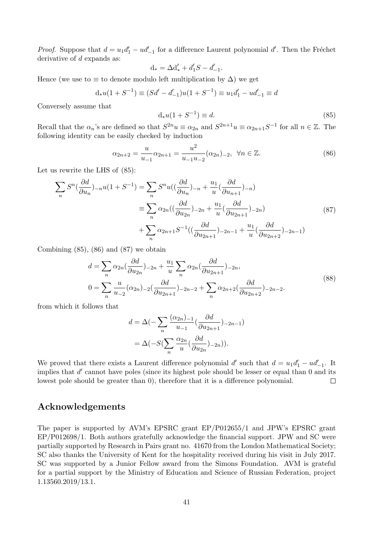*Proof.* Suppose that  $d = u_1 d_1' - u d_{-1}'$  for a difference Laurent polynomial d'. Then the Fréchet derivative of d expands as:

$$
d_* = \Delta d'_* + d'_1 S - d'_{-1}.
$$

Hence (we use to  $\equiv$  to denote modulo left multiplication by  $\Delta$ ) we get

$$
d_*u(1+S^{-1}) \equiv (Sd'-d'_{-1})u(1+S^{-1}) \equiv u_1d'_1 - ud'_{-1} \equiv d
$$

Conversely assume that

$$
d_*u(1+S^{-1}) \equiv d. \tag{85}
$$

Recall that the  $\alpha_n$ 's are defined so that  $S^{2n}u \equiv \alpha_{2n}$  and  $S^{2n+1}u \equiv \alpha_{2n+1}S^{-1}$  for all  $n \in \mathbb{Z}$ . The following identity can be easily checked by induction

$$
\alpha_{2n+2} = \frac{u}{u_{-1}} \alpha_{2n+1} = \frac{u^2}{u_{-1}u_{-2}} (\alpha_{2n})_{-2}, \ \forall n \in \mathbb{Z}.
$$
\n(86)

Let us rewrite the LHS of (85):

$$
\sum_{n} S^{n} \left( \frac{\partial d}{\partial u_{n}} \right)_{-n} u(1 + S^{-1}) = \sum_{n} S^{n} u \left( \left( \frac{\partial d}{\partial u_{n}} \right)_{-n} + \frac{u_{1}}{u} \left( \frac{\partial d}{\partial u_{n+1}} \right)_{-n} \right)
$$

$$
\equiv \sum_{n} \alpha_{2n} \left( \left( \frac{\partial d}{\partial u_{2n}} \right)_{-2n} + \frac{u_{1}}{u} \left( \frac{\partial d}{\partial u_{2n+1}} \right)_{-2n} \right)
$$

$$
+ \sum_{n} \alpha_{2n+1} S^{-1} \left( \left( \frac{\partial d}{\partial u_{2n+1}} \right)_{-2n-1} + \frac{u_{1}}{u} \left( \frac{\partial d}{\partial u_{2n+2}} \right)_{-2n-1} \right)
$$
(87)

Combining  $(85)$ ,  $(86)$  and  $(87)$  we obtain

$$
d = \sum_{n} \alpha_{2n} \left( \frac{\partial d}{\partial u_{2n}} \right)_{-2n} + \frac{u_1}{u} \sum_{n} \alpha_{2n} \left( \frac{\partial d}{\partial u_{2n+1}} \right)_{-2n},
$$
  
\n
$$
0 = \sum_{n} \frac{u}{u_{-2}} (\alpha_{2n})_{-2} \left( \frac{\partial d}{\partial u_{2n+1}} \right)_{-2n-2} + \sum_{n} \alpha_{2n+2} \left( \frac{\partial d}{\partial u_{2n+2}} \right)_{-2n-2}.
$$
\n(88)

from which it follows that

$$
d = \Delta(-\sum_{n} \frac{(\alpha_{2n})-1}{u_{-1}} \left(\frac{\partial d}{\partial u_{2n+1}}\right)_{-2n-1})
$$
  
= 
$$
\Delta(-S(\sum_{n} \frac{\alpha_{2n}}{u} \left(\frac{\partial d}{\partial u_{2n}}\right)_{-2n})).
$$

We proved that there exists a Laurent difference polynomial d' such that  $d = u_1 d'_1 - u d'_{-1}$ . It implies that  $d'$  cannot have poles (since its highest pole should be lesser or equal than 0 and its lowest pole should be greater than 0), therefore that it is a difference polynomial.  $\Box$ 

## Acknowledgements

The paper is supported by AVM's EPSRC grant EP/P012655/1 and JPW's EPSRC grant EP/P012698/1. Both authors gratefully acknowledge the financial support. JPW and SC were partially supported by Research in Pairs grant no. 41670 from the London Mathematical Society; SC also thanks the University of Kent for the hospitality received during his visit in July 2017. SC was supported by a Junior Fellow award from the Simons Foundation. AVM is grateful for a partial support by the Ministry of Education and Science of Russian Federation, project 1.13560.2019/13.1.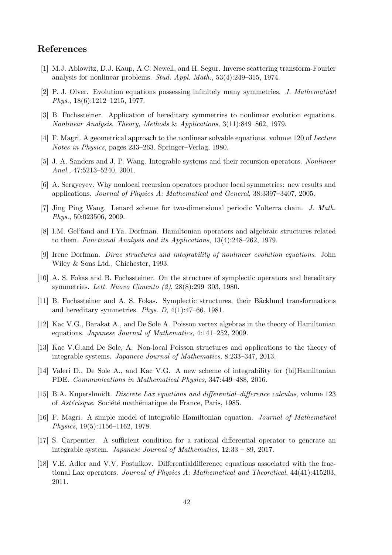# References

- [1] M.J. Ablowitz, D.J. Kaup, A.C. Newell, and H. Segur. Inverse scattering transform-Fourier analysis for nonlinear problems. Stud. Appl. Math., 53(4):249–315, 1974.
- [2] P. J. Olver. Evolution equations possessing infinitely many symmetries. J. Mathematical Phys., 18(6):1212–1215, 1977.
- [3] B. Fuchssteiner. Application of hereditary symmetries to nonlinear evolution equations. Nonlinear Analysis, Theory, Methods & Applications, 3(11):849–862, 1979.
- [4] F. Magri. A geometrical approach to the nonlinear solvable equations. volume 120 of Lecture Notes in Physics, pages 233–263. Springer–Verlag, 1980.
- [5] J. A. Sanders and J. P. Wang. Integrable systems and their recursion operators. Nonlinear Anal., 47:5213–5240, 2001.
- [6] A. Sergyeyev. Why nonlocal recursion operators produce local symmetries: new results and applications. Journal of Physics A: Mathematical and General, 38:3397–3407, 2005.
- [7] Jing Ping Wang. Lenard scheme for two-dimensional periodic Volterra chain. J. Math. Phys., 50:023506, 2009.
- [8] I.M. Gel'fand and I.Ya. Dorfman. Hamiltonian operators and algebraic structures related to them. Functional Analysis and its Applications, 13(4):248–262, 1979.
- [9] Irene Dorfman. Dirac structures and integrability of nonlinear evolution equations. John Wiley & Sons Ltd., Chichester, 1993.
- [10] A. S. Fokas and B. Fuchssteiner. On the structure of symplectic operators and hereditary symmetries. Lett. Nuovo Cimento (2), 28(8):299–303, 1980.
- [11] B. Fuchssteiner and A. S. Fokas. Symplectic structures, their Bäcklund transformations and hereditary symmetries. Phys. D,  $4(1):47-66$ , 1981.
- [12] Kac V.G., Barakat A., and De Sole A. Poisson vertex algebras in the theory of Hamiltonian equations. Japanese Journal of Mathematics, 4:141–252, 2009.
- [13] Kac V.G.and De Sole, A. Non-local Poisson structures and applications to the theory of integrable systems. Japanese Journal of Mathematics, 8:233–347, 2013.
- [14] Valeri D., De Sole A., and Kac V.G. A new scheme of integrability for (bi)Hamiltonian PDE. Communications in Mathematical Physics, 347:449–488, 2016.
- [15] B.A. Kupershmidt. Discrete Lax equations and differential–difference calculus, volume 123 of *Astérisque*. Société mathématique de France, Paris, 1985.
- [16] F. Magri. A simple model of integrable Hamiltonian equation. Journal of Mathematical Physics, 19(5):1156–1162, 1978.
- [17] S. Carpentier. A sufficient condition for a rational differential operator to generate an integrable system. Japanese Journal of Mathematics, 12:33 – 89, 2017.
- [18] V.E. Adler and V.V. Postnikov. Differentialdifference equations associated with the fractional Lax operators. Journal of Physics A: Mathematical and Theoretical, 44(41):415203, 2011.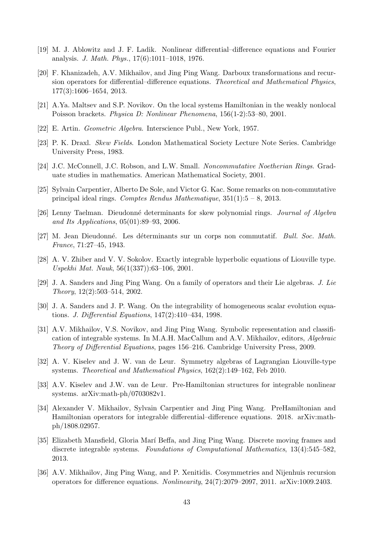- [19] M. J. Ablowitz and J. F. Ladik. Nonlinear differential–difference equations and Fourier analysis. J. Math. Phys., 17(6):1011–1018, 1976.
- [20] F. Khanizadeh, A.V. Mikhailov, and Jing Ping Wang. Darboux transformations and recursion operators for differential–difference equations. Theoretical and Mathematical Physics, 177(3):1606–1654, 2013.
- [21] A.Ya. Maltsev and S.P. Novikov. On the local systems Hamiltonian in the weakly nonlocal Poisson brackets. Physica D: Nonlinear Phenomena, 156(1-2):53–80, 2001.
- [22] E. Artin. Geometric Algebra. Interscience Publ., New York, 1957.
- [23] P. K. Draxl. Skew Fields. London Mathematical Society Lecture Note Series. Cambridge University Press, 1983.
- [24] J.C. McConnell, J.C. Robson, and L.W. Small. Noncommutative Noetherian Rings. Graduate studies in mathematics. American Mathematical Society, 2001.
- [25] Sylvain Carpentier, Alberto De Sole, and Victor G. Kac. Some remarks on non-commutative principal ideal rings. Comptes Rendus Mathematique,  $351(1):5 - 8$ , 2013.
- [26] Lenny Taelman. Dieudonné determinants for skew polynomial rings. Journal of Algebra and Its Applications, 05(01):89–93, 2006.
- [27] M. Jean Dieudonné. Les déterminants sur un corps non commutatif. *Bull. Soc. Math.* France, 71:27–45, 1943.
- [28] A. V. Zhiber and V. V. Sokolov. Exactly integrable hyperbolic equations of Liouville type. Uspekhi Mat. Nauk, 56(1(337)):63–106, 2001.
- [29] J. A. Sanders and Jing Ping Wang. On a family of operators and their Lie algebras. J. Lie Theory, 12(2):503–514, 2002.
- [30] J. A. Sanders and J. P. Wang. On the integrability of homogeneous scalar evolution equations. J. Differential Equations, 147(2):410–434, 1998.
- [31] A.V. Mikhailov, V.S. Novikov, and Jing Ping Wang. Symbolic representation and classification of integrable systems. In M.A.H. MacCallum and A.V. Mikhailov, editors, Algebraic Theory of Differential Equations, pages 156–216. Cambridge University Press, 2009.
- [32] A. V. Kiselev and J. W. van de Leur. Symmetry algebras of Lagrangian Liouville-type systems. Theoretical and Mathematical Physics, 162(2):149–162, Feb 2010.
- [33] A.V. Kiselev and J.W. van de Leur. Pre-Hamiltonian structures for integrable nonlinear systems. arXiv:math-ph/0703082v1.
- [34] Alexander V. Mikhailov, Sylvain Carpentier and Jing Ping Wang. PreHamiltonian and Hamiltonian operators for integrable differential–difference equations. 2018. arXiv:mathph/1808.02957.
- [35] Elizabeth Mansfield, Gloria Marí Beffa, and Jing Ping Wang. Discrete moving frames and discrete integrable systems. Foundations of Computational Mathematics, 13(4):545–582, 2013.
- [36] A.V. Mikhailov, Jing Ping Wang, and P. Xenitidis. Cosymmetries and Nijenhuis recursion operators for difference equations. Nonlinearity, 24(7):2079–2097, 2011. arXiv:1009.2403.